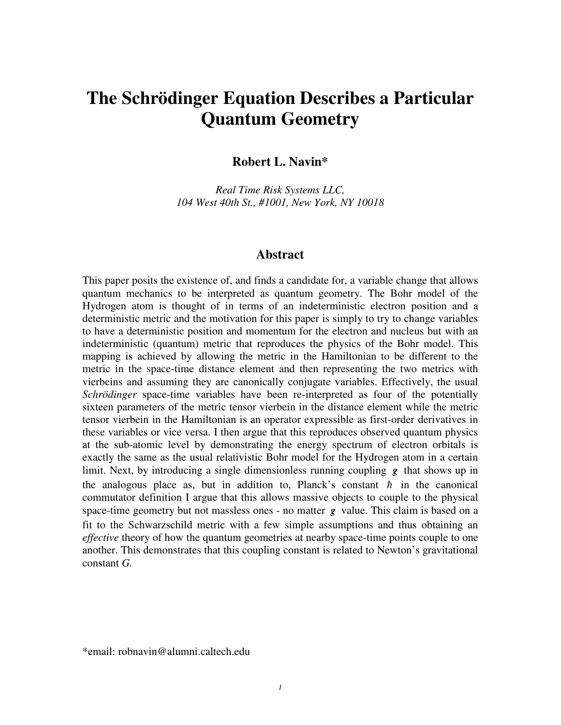# **The Schrödinger Equation Describes a Particular Quantum Geometry**

#### **Robert L. Navin\***

*Real Time Risk Systems LLC, 104 West 40th St., #1001, New York, NY 10018* 

#### **Abstract**

This paper posits the existence of, and finds a candidate for, a variable change that allows quantum mechanics to be interpreted as quantum geometry. The Bohr model of the Hydrogen atom is thought of in terms of an indeterministic electron position and a deterministic metric and the motivation for this paper is simply to try to change variables to have a deterministic position and momentum for the electron and nucleus but with an indeterministic (quantum) metric that reproduces the physics of the Bohr model. This mapping is achieved by allowing the metric in the Hamiltonian to be different to the metric in the space-time distance element and then representing the two metrics with vierbeins and assuming they are canonically conjugate variables. Effectively, the usual *Schrödinger* space-time variables have been re-interpreted as four of the potentially sixteen parameters of the metric tensor vierbein in the distance element while the metric tensor vierbein in the Hamiltonian is an operator expressible as first-order derivatives in these variables or vice versa. I then argue that this reproduces observed quantum physics at the sub-atomic level by demonstrating the energy spectrum of electron orbitals is exactly the same as the usual relativistic Bohr model for the Hydrogen atom in a certain limit. Next, by introducing a single dimensionless running coupling *g*/ that shows up in the analogous place as, but in addition to, Planck's constant  $\hbar$  in the canonical commutator definition I argue that this allows massive objects to couple to the physical space-time geometry but not massless ones - no matter  $g$  value. This claim is based on a fit to the Schwarzschild metric with a few simple assumptions and thus obtaining an *effective* theory of how the quantum geometries at nearby space-time points couple to one another. This demonstrates that this coupling constant is related to Newton's gravitational constant *G.* 

\*email: robnavin@alumni.caltech.edu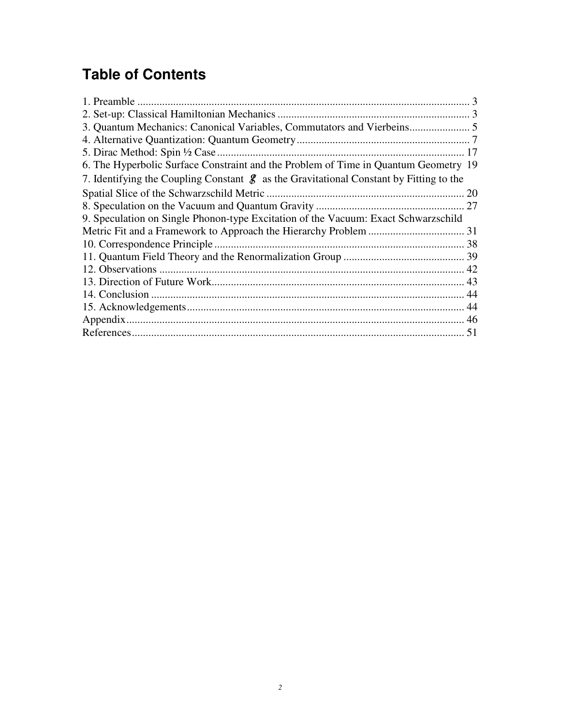# **Table of Contents**

| 6. The Hyperbolic Surface Constraint and the Problem of Time in Quantum Geometry 19                |  |
|----------------------------------------------------------------------------------------------------|--|
| 7. Identifying the Coupling Constant $\mathscr{L}$ as the Gravitational Constant by Fitting to the |  |
|                                                                                                    |  |
|                                                                                                    |  |
| 9. Speculation on Single Phonon-type Excitation of the Vacuum: Exact Schwarzschild                 |  |
|                                                                                                    |  |
|                                                                                                    |  |
|                                                                                                    |  |
|                                                                                                    |  |
|                                                                                                    |  |
|                                                                                                    |  |
|                                                                                                    |  |
|                                                                                                    |  |
|                                                                                                    |  |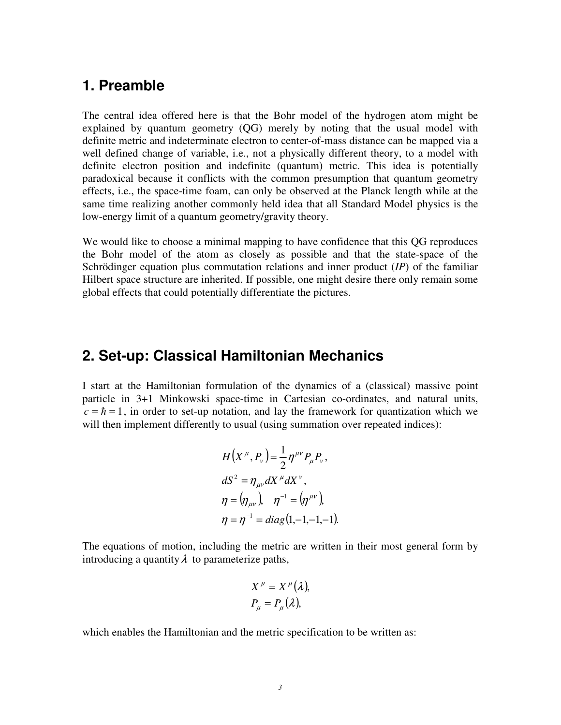#### **1. Preamble**

The central idea offered here is that the Bohr model of the hydrogen atom might be explained by quantum geometry (QG) merely by noting that the usual model with definite metric and indeterminate electron to center-of-mass distance can be mapped via a well defined change of variable, i.e., not a physically different theory, to a model with definite electron position and indefinite (quantum) metric. This idea is potentially paradoxical because it conflicts with the common presumption that quantum geometry effects, i.e., the space-time foam, can only be observed at the Planck length while at the same time realizing another commonly held idea that all Standard Model physics is the low-energy limit of a quantum geometry/gravity theory.

We would like to choose a minimal mapping to have confidence that this QG reproduces the Bohr model of the atom as closely as possible and that the state-space of the Schrödinger equation plus commutation relations and inner product (*IP*) of the familiar Hilbert space structure are inherited. If possible, one might desire there only remain some global effects that could potentially differentiate the pictures.

#### **2. Set-up: Classical Hamiltonian Mechanics**

I start at the Hamiltonian formulation of the dynamics of a (classical) massive point particle in 3+1 Minkowski space-time in Cartesian co-ordinates, and natural units,  $c = \hbar = 1$ , in order to set-up notation, and lay the framework for quantization which we will then implement differently to usual (using summation over repeated indices):

$$
H(X^{\mu}, P_{\nu}) = \frac{1}{2} \eta^{\mu \nu} P_{\mu} P_{\nu},
$$
  
\n
$$
dS^{2} = \eta_{\mu \nu} dX^{\mu} dX^{\nu},
$$
  
\n
$$
\eta = (\eta_{\mu \nu}), \quad \eta^{-1} = (\eta^{\mu \nu}),
$$
  
\n
$$
\eta = \eta^{-1} = diag(1, -1, -1, -1).
$$

The equations of motion, including the metric are written in their most general form by introducing a quantity  $\lambda$  to parameterize paths,

$$
X^{\mu} = X^{\mu}(\lambda),
$$
  
\n
$$
P_{\mu} = P_{\mu}(\lambda),
$$

which enables the Hamiltonian and the metric specification to be written as: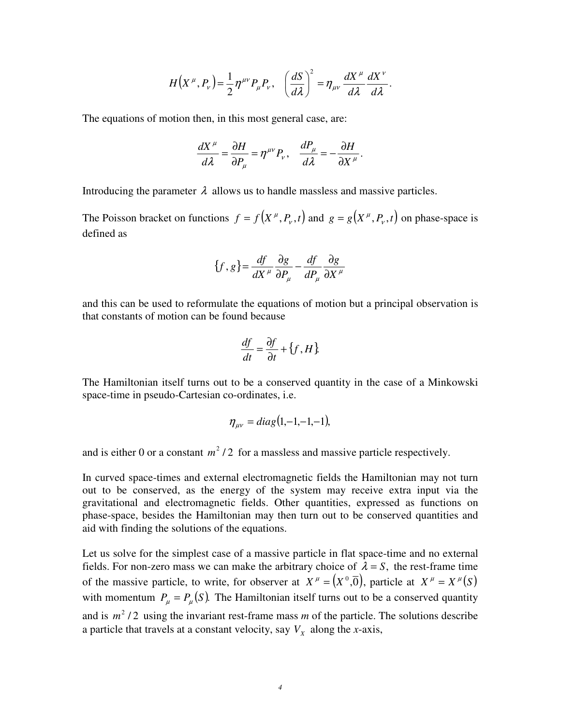$$
H(X^{\mu}, P_{\nu}) = \frac{1}{2} \eta^{\mu\nu} P_{\mu} P_{\nu}, \quad \left(\frac{dS}{d\lambda}\right)^2 = \eta_{\mu\nu} \frac{dX^{\mu}}{d\lambda} \frac{dX^{\nu}}{d\lambda}.
$$

The equations of motion then, in this most general case, are:

$$
\frac{dX^{\mu}}{d\lambda} = \frac{\partial H}{\partial P_{\mu}} = \eta^{\mu\nu} P_{\nu}, \quad \frac{dP_{\mu}}{d\lambda} = -\frac{\partial H}{\partial X^{\mu}}.
$$

Introducing the parameter  $\lambda$  allows us to handle massless and massive particles.

The Poisson bracket on functions  $f = f(X^{\mu}, P_{\nu}, t)$  and  $g = g(X^{\mu}, P_{\nu}, t)$  on phase-space is defined as

$$
\{f, g\} = \frac{df}{dX^{\mu}} \frac{\partial g}{\partial P_{\mu}} - \frac{df}{dP_{\mu}} \frac{\partial g}{\partial X^{\mu}}
$$

and this can be used to reformulate the equations of motion but a principal observation is that constants of motion can be found because

$$
\frac{df}{dt} = \frac{\partial f}{\partial t} + \{f, H\}.
$$

The Hamiltonian itself turns out to be a conserved quantity in the case of a Minkowski space-time in pseudo-Cartesian co-ordinates, i.e.

$$
\eta_{\mu\nu} = diag(1,-1,-1,-1),
$$

and is either 0 or a constant  $m^2/2$  for a massless and massive particle respectively.

In curved space-times and external electromagnetic fields the Hamiltonian may not turn out to be conserved, as the energy of the system may receive extra input via the gravitational and electromagnetic fields. Other quantities, expressed as functions on phase-space, besides the Hamiltonian may then turn out to be conserved quantities and aid with finding the solutions of the equations.

Let us solve for the simplest case of a massive particle in flat space-time and no external fields. For non-zero mass we can make the arbitrary choice of  $\lambda = S$ , the rest-frame time of the massive particle, to write, for observer at  $X^{\mu} = (X^0, \overline{0})$ , particle at  $X^{\mu} = X^{\mu}(S)$ with momentum  $P_{\mu} = P_{\mu}(S)$ . The Hamiltonian itself turns out to be a conserved quantity and is  $m^2/2$  using the invariant rest-frame mass *m* of the particle. The solutions describe a particle that travels at a constant velocity, say  $V_X$  along the *x*-axis,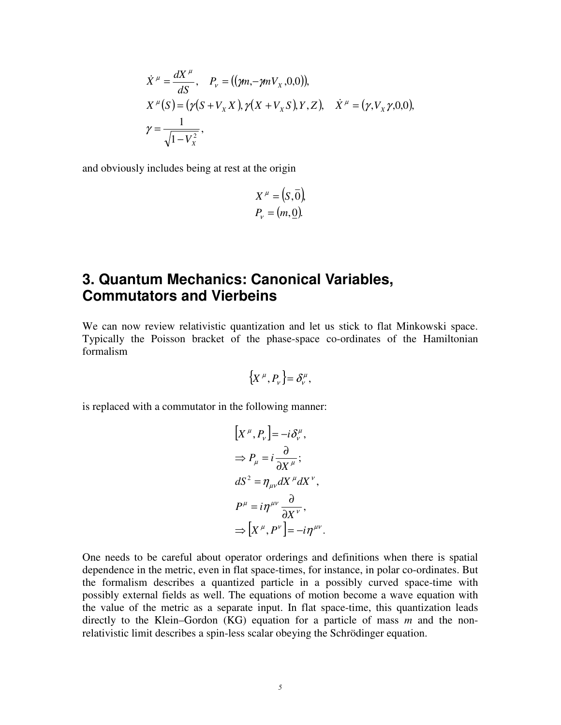$$
\dot{X}^{\mu} = \frac{dX^{\mu}}{dS}, \quad P_{\nu} = ((\gamma m, -\gamma m V_{X}, 0, 0)),\nX^{\mu}(S) = (\gamma (S + V_{X} X), \gamma (X + V_{X} S), Y, Z), \quad \dot{X}^{\mu} = (\gamma, V_{X} \gamma, 0, 0),\n\gamma = \frac{1}{\sqrt{1 - V_{X}^{2}}},
$$

and obviously includes being at rest at the origin

$$
X^{\mu} = (S, \overline{0}),
$$
  

$$
P_{v} = (m, \underline{0}).
$$

### **3. Quantum Mechanics: Canonical Variables, Commutators and Vierbeins**

We can now review relativistic quantization and let us stick to flat Minkowski space. Typically the Poisson bracket of the phase-space co-ordinates of the Hamiltonian formalism

$$
\left\{X^{\mu},P_{\nu}\right\}=\delta_{\nu}^{\mu},
$$

is replaced with a commutator in the following manner:

$$
[X^{\mu}, P_{\nu}] = -i \delta^{\mu}_{\nu},
$$
  
\n
$$
\Rightarrow P_{\mu} = i \frac{\partial}{\partial X^{\mu}};
$$
  
\n
$$
dS^{2} = \eta_{\mu\nu} dX^{\mu} dX^{\nu},
$$
  
\n
$$
P^{\mu} = i \eta^{\mu\nu} \frac{\partial}{\partial X^{\nu}},
$$
  
\n
$$
\Rightarrow [X^{\mu}, P^{\nu}] = -i \eta^{\mu\nu}.
$$

One needs to be careful about operator orderings and definitions when there is spatial dependence in the metric, even in flat space-times, for instance, in polar co-ordinates. But the formalism describes a quantized particle in a possibly curved space-time with possibly external fields as well. The equations of motion become a wave equation with the value of the metric as a separate input. In flat space-time, this quantization leads directly to the Klein–Gordon (KG) equation for a particle of mass *m* and the nonrelativistic limit describes a spin-less scalar obeying the Schrödinger equation.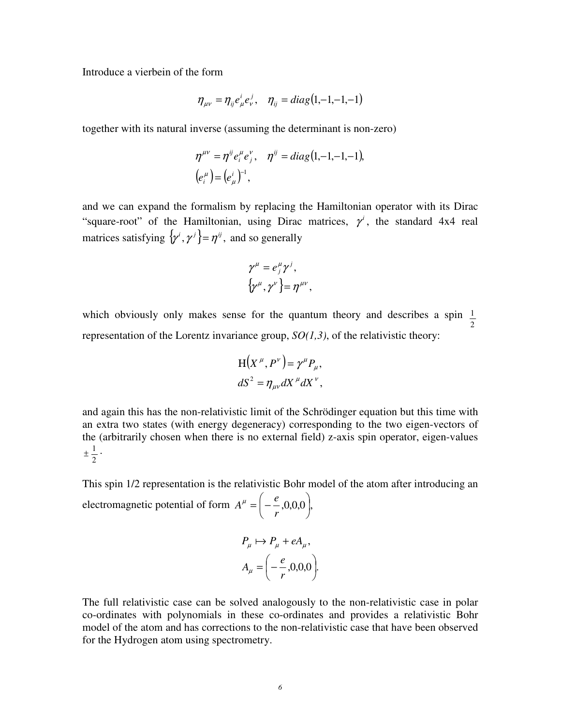Introduce a vierbein of the form

$$
\eta_{\mu\nu} = \eta_{ij} e^i_{\mu} e^j_{\nu}, \quad \eta_{ij} = diag(1, -1, -1, -1)
$$

together with its natural inverse (assuming the determinant is non-zero)

$$
\eta^{\mu\nu} = \eta^{\mu} e_i^{\mu} e_j^{\nu}, \quad \eta^{\mu} = diag(1, -1, -1, -1),
$$
  
\n
$$
(e_i^{\mu}) = (e_{\mu}^{\mu})^{-1},
$$

and we can expand the formalism by replacing the Hamiltonian operator with its Dirac "square-root" of the Hamiltonian, using Dirac matrices,  $\gamma^i$ , the standard 4x4 real matrices satisfying  $\{\gamma^i, \gamma^j\} = \eta^{ij}$ , and so generally

$$
\gamma^{\mu} = e_j^{\mu} \gamma^j,
$$
  

$$
\{\gamma^{\mu}, \gamma^{\nu}\} = \eta^{\mu\nu},
$$

which obviously only makes sense for the quantum theory and describes a spin 2 1 representation of the Lorentz invariance group, *SO(1,3)*, of the relativistic theory:

$$
H(X^{\mu}, P^{\nu}) = \gamma^{\mu} P_{\mu},
$$
  

$$
dS^{2} = \eta_{\mu\nu} dX^{\mu} dX^{\nu},
$$

and again this has the non-relativistic limit of the Schrödinger equation but this time with an extra two states (with energy degeneracy) corresponding to the two eigen-vectors of the (arbitrarily chosen when there is no external field) z-axis spin operator, eigen-values 2  $\pm \frac{1}{2}$ .

This spin 1/2 representation is the relativistic Bohr model of the atom after introducing an electromagnetic potential of form  $A^{\mu} = \begin{bmatrix} 1 & -1 \\ - & -1 \\ 0 & 0 \end{bmatrix}$ , J  $\Big(-\frac{e}{2},0,0,0\Big)$  $\setminus$  = − *r*  $A^{\mu} = \left(-\frac{e}{\mu}\right)$ 

$$
P_{\mu} \mapsto P_{\mu} + eA_{\mu},
$$
  

$$
A_{\mu} = \left(-\frac{e}{r}, 0, 0, 0\right).
$$

The full relativistic case can be solved analogously to the non-relativistic case in polar co-ordinates with polynomials in these co-ordinates and provides a relativistic Bohr model of the atom and has corrections to the non-relativistic case that have been observed for the Hydrogen atom using spectrometry.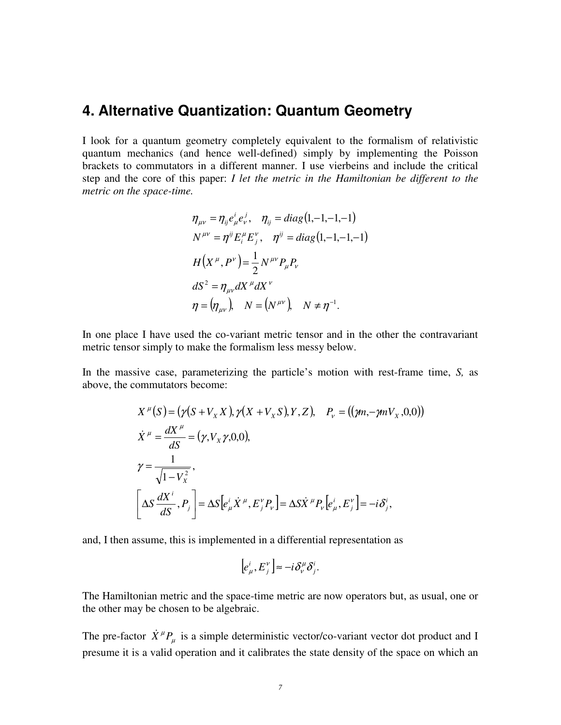#### **4. Alternative Quantization: Quantum Geometry**

I look for a quantum geometry completely equivalent to the formalism of relativistic quantum mechanics (and hence well-defined) simply by implementing the Poisson brackets to commutators in a different manner. I use vierbeins and include the critical step and the core of this paper: *I let the metric in the Hamiltonian be different to the metric on the space-time.*

$$
\eta_{\mu\nu} = \eta_{ij} e^i_{\mu} e^j_{\nu}, \quad \eta_{ij} = diag(1, -1, -1, -1)
$$
  
\n
$$
N^{\mu\nu} = \eta^{ij} E^{\mu}_{i} E^{\nu}_{j}, \quad \eta^{ij} = diag(1, -1, -1, -1)
$$
  
\n
$$
H(X^{\mu}, P^{\nu}) = \frac{1}{2} N^{\mu\nu} P_{\mu} P_{\nu}
$$
  
\n
$$
dS^2 = \eta_{\mu\nu} dX^{\mu} dX^{\nu}
$$
  
\n
$$
\eta = (\eta_{\mu\nu}), \quad N = (N^{\mu\nu}), \quad N \neq \eta^{-1}.
$$

In one place I have used the co-variant metric tensor and in the other the contravariant metric tensor simply to make the formalism less messy below.

In the massive case, parameterizing the particle's motion with rest-frame time, *S,* as above, the commutators become:

$$
X^{\mu}(S) = (\gamma(S + V_{X}X), \gamma(X + V_{X}S), Y, Z), \quad P_{\nu} = ((\gamma m, -\gamma m V_{X}, 0, 0))
$$
  
\n
$$
\dot{X}^{\mu} = \frac{dX^{\mu}}{dS} = (\gamma, V_{X}\gamma, 0, 0),
$$
  
\n
$$
\gamma = \frac{1}{\sqrt{1 - V_{X}^{2}}},
$$
  
\n
$$
\left[\Delta S \frac{dX^{i}}{dS}, P_{j}\right] = \Delta S \left[e_{\mu}^{i} \dot{X}^{\mu}, E_{j}^{\nu} P_{\nu}\right] = \Delta S \dot{X}^{\mu} P_{\nu} \left[e_{\mu}^{i}, E_{j}^{\nu}\right] = -i \delta_{j}^{i},
$$

and, I then assume, this is implemented in a differential representation as

$$
\left[e_{\mu}^{i},E_{j}^{\nu}\right]\approx-i\delta_{\nu}^{\mu}\delta_{j}^{i}.
$$

The Hamiltonian metric and the space-time metric are now operators but, as usual, one or the other may be chosen to be algebraic.

The pre-factor  $\dot{X}^{\mu}P_{\mu}$  is a simple deterministic vector/co-variant vector dot product and I presume it is a valid operation and it calibrates the state density of the space on which an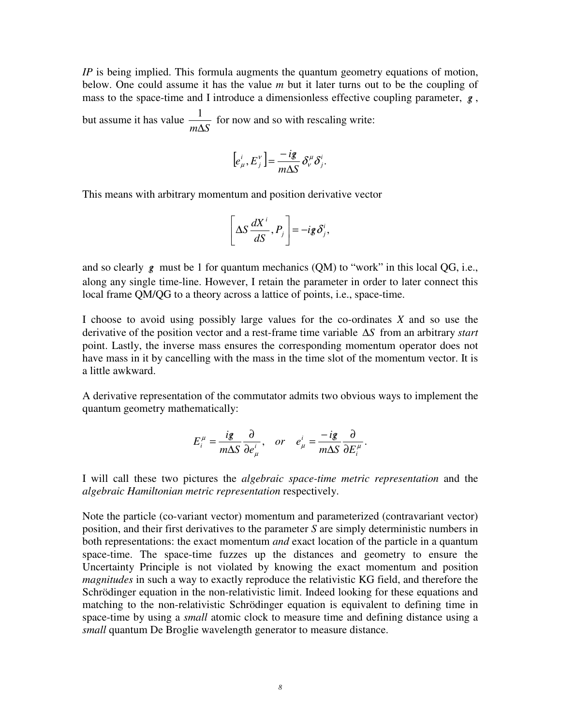*IP* is being implied. This formula augments the quantum geometry equations of motion, below. One could assume it has the value *m* but it later turns out to be the coupling of mass to the space-time and I introduce a dimensionless effective coupling parameter,  $g$ , but assume it has value *m*∆*S*  $\frac{1}{16}$  for now and so with rescaling write:

$$
[e_{\mu}^i, E_j^v] = \frac{-ig}{m\Delta S} \delta_v^{\mu} \delta_j^i.
$$

This means with arbitrary momentum and position derivative vector

$$
\left[\Delta S \frac{dX^i}{dS}, P_j\right] = -ig\,\delta^i_j,
$$

and so clearly g must be 1 for quantum mechanics (QM) to "work" in this local QG, i.e., along any single time-line. However, I retain the parameter in order to later connect this local frame QM/QG to a theory across a lattice of points, i.e., space-time.

I choose to avoid using possibly large values for the co-ordinates *X* and so use the derivative of the position vector and a rest-frame time variable ∆*S* from an arbitrary *start* point. Lastly, the inverse mass ensures the corresponding momentum operator does not have mass in it by cancelling with the mass in the time slot of the momentum vector. It is a little awkward.

A derivative representation of the commutator admits two obvious ways to implement the quantum geometry mathematically:

$$
E_i^{\mu} = \frac{ig}{m\Delta S} \frac{\partial}{\partial e_{\mu}^i}, \quad or \quad e_{\mu}^i = \frac{-ig}{m\Delta S} \frac{\partial}{\partial E_i^{\mu}}.
$$

I will call these two pictures the *algebraic space-time metric representation* and the *algebraic Hamiltonian metric representation* respectively.

Note the particle (co-variant vector) momentum and parameterized (contravariant vector) position, and their first derivatives to the parameter *S* are simply deterministic numbers in both representations: the exact momentum *and* exact location of the particle in a quantum space-time. The space-time fuzzes up the distances and geometry to ensure the Uncertainty Principle is not violated by knowing the exact momentum and position *magnitudes* in such a way to exactly reproduce the relativistic KG field, and therefore the Schrödinger equation in the non-relativistic limit. Indeed looking for these equations and matching to the non-relativistic Schrödinger equation is equivalent to defining time in space-time by using a *small* atomic clock to measure time and defining distance using a *small* quantum De Broglie wavelength generator to measure distance.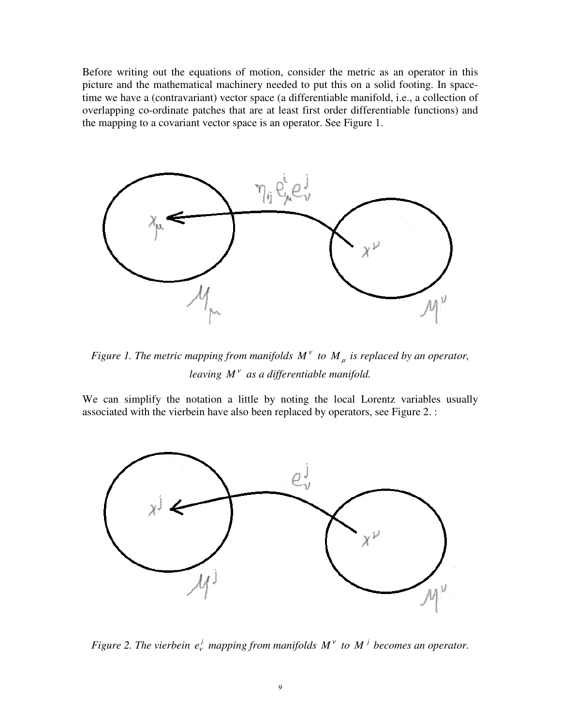Before writing out the equations of motion, consider the metric as an operator in this picture and the mathematical machinery needed to put this on a solid footing. In spacetime we have a (contravariant) vector space (a differentiable manifold, i.e., a collection of overlapping co-ordinate patches that are at least first order differentiable functions) and the mapping to a covariant vector space is an operator. See Figure 1.



*Figure 1. The metric mapping from manifolds*  $M^{\nu}$  *to*  $M_{\mu}$  *is replaced by an operator, leaving*  $M^{\nu}$  *as a differentiable manifold.* 

We can simplify the notation a little by noting the local Lorentz variables usually associated with the vierbein have also been replaced by operators, see Figure 2. :



*Figure 2. The vierbein*  $e_v^j$  *mapping from manifolds*  $M^{\nu}$  *to*  $M^{\nu}$  *becomes an operator.*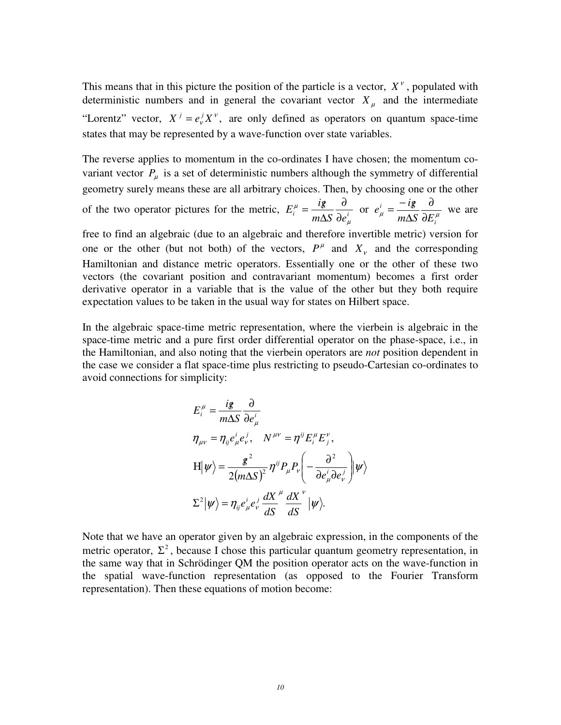This means that in this picture the position of the particle is a vector,  $X^{\nu}$ , populated with deterministic numbers and in general the covariant vector  $X_\mu$  and the intermediate "Lorentz" vector,  $X^j = e^j_r X^r$ , are only defined as operators on quantum space-time states that may be represented by a wave-function over state variables.

The reverse applies to momentum in the co-ordinates I have chosen; the momentum covariant vector  $P_{\mu}$  is a set of deterministic numbers although the symmetry of differential geometry surely means these are all arbitrary choices. Then, by choosing one or the other of the two operator pictures for the metric,  $E_i^{\mu} = \frac{i\delta}{m\Delta S} \frac{\partial}{\partial e_i^{\mu}}$  $E_i^{\mu} = \frac{ig}{\mu}$ µ µ ∂ ∂  $=\frac{ig}{m\Delta S}\frac{\partial}{\partial e_{\mu}^{i}}$  or  $e_{\mu}^{i}=\frac{-ig}{m\Delta S}\frac{\partial}{\partial E_{i}^{\mu}}$ *i i*  $m\Delta S$   $\partial E$  $e^i_{\mu} = \frac{-ig}{ig}$ ∂ ∂ ∆  $=\frac{-ig}{\hbar^2}\frac{\partial}{\partial x''}$  we are

free to find an algebraic (due to an algebraic and therefore invertible metric) version for one or the other (but not both) of the vectors,  $P^{\mu}$  and  $X_{\nu}$  and the corresponding Hamiltonian and distance metric operators. Essentially one or the other of these two vectors (the covariant position and contravariant momentum) becomes a first order derivative operator in a variable that is the value of the other but they both require expectation values to be taken in the usual way for states on Hilbert space.

In the algebraic space-time metric representation, where the vierbein is algebraic in the space-time metric and a pure first order differential operator on the phase-space, i.e., in the Hamiltonian, and also noting that the vierbein operators are *not* position dependent in the case we consider a flat space-time plus restricting to pseudo-Cartesian co-ordinates to avoid connections for simplicity:

$$
E_i^{\mu} = \frac{ig}{m\Delta S} \frac{\partial}{\partial e_{\mu}^i}
$$
  
\n
$$
\eta_{\mu\nu} = \eta_{ij} e_{\mu}^i e_{\nu}^j, \quad N^{\mu\nu} = \eta^{ij} E_i^{\mu} E_j^{\nu},
$$
  
\n
$$
H|\psi\rangle = \frac{g^2}{2(m\Delta S)^2} \eta^{ij} P_{\mu} P_{\nu} \left( -\frac{\partial^2}{\partial e_{\mu}^i \partial e_{\nu}^j} \right) |\psi\rangle
$$
  
\n
$$
\Sigma^2 |\psi\rangle = \eta_{ij} e_{\mu}^i e_{\nu}^j \frac{dX}{dS}^{\mu} \frac{dX}{dS}^{\nu} |\psi\rangle.
$$

Note that we have an operator given by an algebraic expression, in the components of the metric operator,  $\Sigma^2$ , because I chose this particular quantum geometry representation, in the same way that in Schrödinger QM the position operator acts on the wave-function in the spatial wave-function representation (as opposed to the Fourier Transform representation). Then these equations of motion become: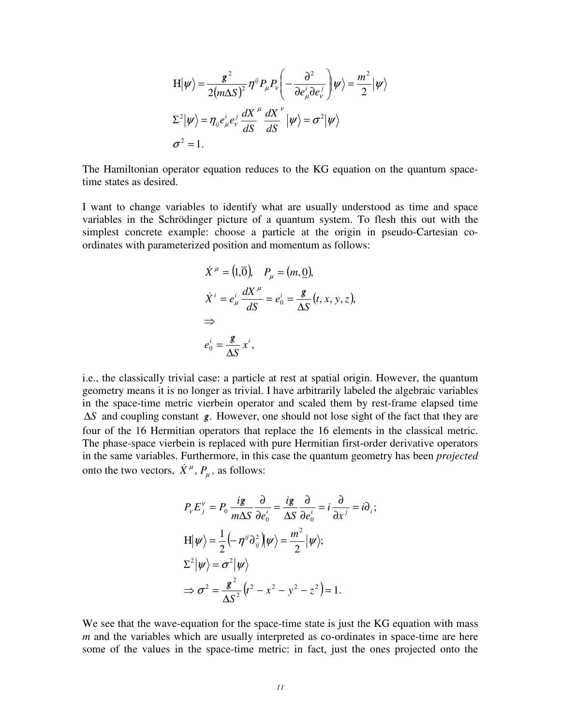$$
\langle H|\psi\rangle = \frac{g^2}{2(m\Delta S)^2} \eta^{ij} P_\mu P_\nu \left( -\frac{\partial^2}{\partial e^i_\mu \partial e^j_\nu} \right) |\psi\rangle = \frac{m^2}{2} |\psi\rangle
$$
  

$$
\Sigma^2 |\psi\rangle = \eta_{ij} e^i_\mu e^j_\nu \frac{dX}{dS}^\mu \frac{dX}{dS}^\nu |\psi\rangle = \sigma^2 |\psi\rangle
$$
  

$$
\sigma^2 = 1.
$$

The Hamiltonian operator equation reduces to the KG equation on the quantum spacetime states as desired.

I want to change variables to identify what are usually understood as time and space variables in the Schrödinger picture of a quantum system. To flesh this out with the simplest concrete example: choose a particle at the origin in pseudo-Cartesian coordinates with parameterized position and momentum as follows:

$$
\dot{X}^{\mu} = (1,\overline{0}), \quad P_{\mu} = (m,\underline{0}),
$$
\n
$$
\dot{X}^{i} = e_{\mu}^{i} \frac{dX^{\mu}}{dS} = e_{0}^{i} = \frac{\mathcal{L}}{\Delta S} (t, x, y, z),
$$
\n
$$
\Rightarrow
$$
\n
$$
e_{0}^{i} = \frac{\mathcal{L}}{\Delta S} x^{i},
$$

i.e., the classically trivial case: a particle at rest at spatial origin. However, the quantum geometry means it is no longer as trivial. I have arbitrarily labeled the algebraic variables in the space-time metric vierbein operator and scaled them by rest-frame elapsed time ∆*S* and coupling constant *g*. / However, one should not lose sight of the fact that they are four of the 16 Hermitian operators that replace the 16 elements in the classical metric. The phase-space vierbein is replaced with pure Hermitian first-order derivative operators in the same variables. Furthermore, in this case the quantum geometry has been *projected* onto the two vectors,  $\dot{X}^{\mu}$ ,  $P_{\mu}$ , as follows:

$$
P_v E_j^v = P_0 \frac{ig}{m\Delta S} \frac{\partial}{\partial e_0^i} = \frac{ig}{\Delta S} \frac{\partial}{\partial e_0^i} = i \frac{\partial}{\partial x^j} = i \partial_i ;
$$
  
\n
$$
H|\psi\rangle = \frac{1}{2} \left(-\eta^{ij} \partial_{ij}^2 \right) |\psi\rangle = \frac{m^2}{2} |\psi\rangle ;
$$
  
\n
$$
\Sigma^2 |\psi\rangle = \sigma^2 |\psi\rangle
$$
  
\n
$$
\Rightarrow \sigma^2 = \frac{g^2}{\Delta S^2} (t^2 - x^2 - y^2 - z^2) = 1.
$$

We see that the wave-equation for the space-time state is just the KG equation with mass *m* and the variables which are usually interpreted as co-ordinates in space-time are here some of the values in the space-time metric: in fact, just the ones projected onto the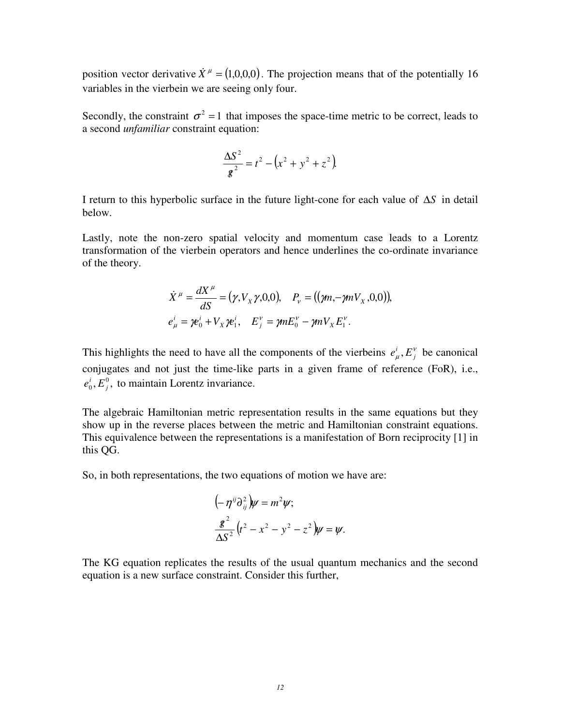position vector derivative  $\dot{X}^{\mu} = (1,0,0,0)$ . The projection means that of the potentially 16 variables in the vierbein we are seeing only four.

Secondly, the constraint  $\sigma^2 = 1$  that imposes the space-time metric to be correct, leads to a second *unfamiliar* constraint equation:

$$
\frac{\Delta S^2}{g^2} = t^2 - \left(x^2 + y^2 + z^2\right).
$$

I return to this hyperbolic surface in the future light-cone for each value of ∆*S* in detail below.

Lastly, note the non-zero spatial velocity and momentum case leads to a Lorentz transformation of the vierbein operators and hence underlines the co-ordinate invariance of the theory.

$$
\dot{X}^{\mu} = \frac{dX^{\mu}}{dS} = (\gamma, V_{X}\gamma, 0, 0), \quad P_{\nu} = ((\gamma m, -\gamma m V_{X}, 0, 0)),
$$
  
\n
$$
e_{\mu}^{i} = \gamma e_{0}^{i} + V_{X}\gamma e_{1}^{i}, \quad E_{j}^{\nu} = \gamma m E_{0}^{\nu} - \gamma m V_{X} E_{1}^{\nu}.
$$

This highlights the need to have all the components of the vierbeins  $e^i_\mu$ ,  $E^{\nu}_j$  $e^i_{\mu}$ ,  $E^{\nu}_{i}$  be canonical conjugates and not just the time-like parts in a given frame of reference (FoR), i.e.,  $, E_i^0,$  $_0$ , $\boldsymbol{\nu}_j$  $e_0^i$ ,  $E_i^0$ , to maintain Lorentz invariance.

The algebraic Hamiltonian metric representation results in the same equations but they show up in the reverse places between the metric and Hamiltonian constraint equations. This equivalence between the representations is a manifestation of Born reciprocity [1] in this QG.

So, in both representations, the two equations of motion we have are:

$$
(-\eta^{ij}\partial_{ij}^2)\psi = m^2\psi;
$$
  

$$
\frac{g^2}{\Delta S^2}(t^2 - x^2 - y^2 - z^2)\psi = \psi.
$$

The KG equation replicates the results of the usual quantum mechanics and the second equation is a new surface constraint. Consider this further,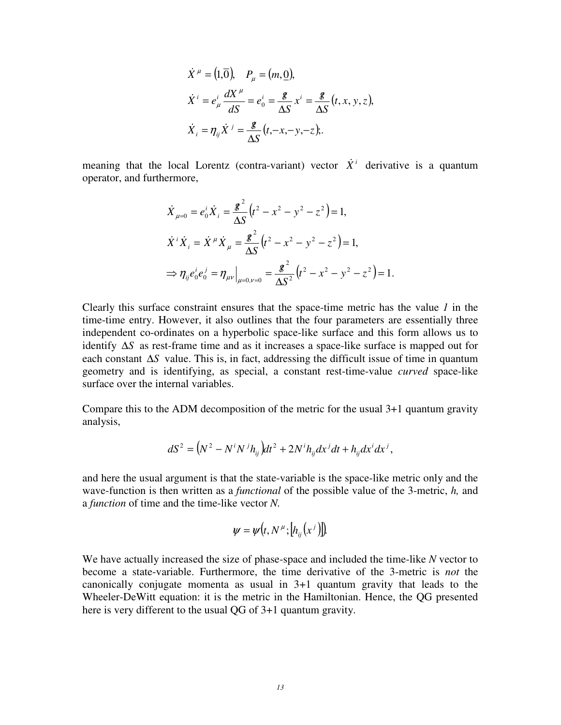$$
\dot{X}^{\mu} = (1, \overline{0}), \quad P_{\mu} = (m, \underline{0}),
$$
\n
$$
\dot{X}^{i} = e_{\mu}^{i} \frac{dX^{\mu}}{dS} = e_{0}^{i} = \frac{g}{\Delta S} x^{i} = \frac{g}{\Delta S} (t, x, y, z),
$$
\n
$$
\dot{X}_{i} = \eta_{ij} \dot{X}^{j} = \frac{g}{\Delta S} (t, -x, -y, -z);
$$

meaning that the local Lorentz (contra-variant) vector  $\dot{X}^i$  derivative is a quantum operator, and furthermore,

$$
\dot{X}_{\mu=0} = e_0^i \dot{X}_i = \frac{g^2}{\Delta S} \left( t^2 - x^2 - y^2 - z^2 \right) = 1,
$$
\n
$$
\dot{X}^i \dot{X}_i = \dot{X}^\mu \dot{X}_\mu = \frac{g^2}{\Delta S} \left( t^2 - x^2 - y^2 - z^2 \right) = 1,
$$
\n
$$
\Rightarrow \eta_{ij} e_0^i e_0^j = \eta_{\mu\nu} \Big|_{\mu=0,\nu=0} = \frac{g^2}{\Delta S^2} \left( t^2 - x^2 - y^2 - z^2 \right) = 1.
$$

Clearly this surface constraint ensures that the space-time metric has the value *1* in the time-time entry. However, it also outlines that the four parameters are essentially three independent co-ordinates on a hyperbolic space-like surface and this form allows us to identify ∆*S* as rest-frame time and as it increases a space-like surface is mapped out for each constant ∆*S* value. This is, in fact, addressing the difficult issue of time in quantum geometry and is identifying, as special, a constant rest-time-value *curved* space-like surface over the internal variables.

Compare this to the ADM decomposition of the metric for the usual  $3+1$  quantum gravity analysis,

$$
dS2 = (N2 - NiNjhij)dt2 + 2Nihijdxjdt + hijdxjdxj,
$$

and here the usual argument is that the state-variable is the space-like metric only and the wave-function is then written as a *functional* of the possible value of the 3-metric, *h,* and a *function* of time and the time-like vector *N.* 

$$
\psi = \psi(t, N^{\mu}; [h_{ij}(x^j)]).
$$

We have actually increased the size of phase-space and included the time-like *N* vector to become a state-variable. Furthermore, the time derivative of the 3-metric is *not* the canonically conjugate momenta as usual in 3+1 quantum gravity that leads to the Wheeler-DeWitt equation: it is the metric in the Hamiltonian. Hence, the QG presented here is very different to the usual QG of 3+1 quantum gravity.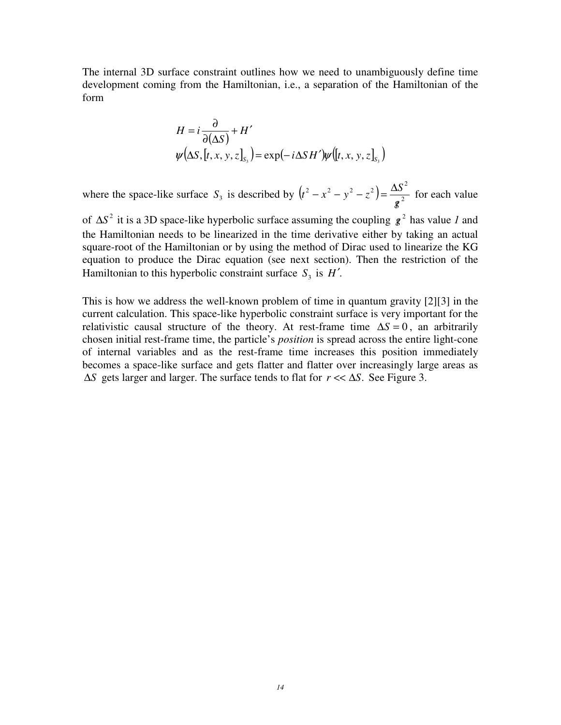The internal 3D surface constraint outlines how we need to unambiguously define time development coming from the Hamiltonian, i.e., a separation of the Hamiltonian of the form

$$
H = i \frac{\partial}{\partial(\Delta S)} + H'
$$
  

$$
\psi(\Delta S, [t, x, y, z]_{S_3}) = \exp(-i \Delta S H') \psi([t, x, y, z]_{S_3})
$$

where the space-like surface  $S_3$  is described by  $(t^2 - x^2 - y^2 - z^2) = \frac{\Delta S^2}{\sigma^2}$ *g*  $\left( t^2 - x^2 - y^2 - z^2 \right) = \frac{\Delta S}{2}$  $\beta$  $(-x^2 - y^2 - z^2) = \frac{\Delta S^2}{2}$  for each value

of  $\Delta S^2$  it is a 3D space-like hyperbolic surface assuming the coupling  $g^2$  has value *1* and the Hamiltonian needs to be linearized in the time derivative either by taking an actual square-root of the Hamiltonian or by using the method of Dirac used to linearize the KG equation to produce the Dirac equation (see next section). Then the restriction of the Hamiltonian to this hyperbolic constraint surface  $S_3$  is  $H'$ .

This is how we address the well-known problem of time in quantum gravity [2][3] in the current calculation. This space-like hyperbolic constraint surface is very important for the relativistic causal structure of the theory. At rest-frame time  $\Delta S = 0$ , an arbitrarily chosen initial rest-frame time, the particle's *position* is spread across the entire light-cone of internal variables and as the rest-frame time increases this position immediately becomes a space-like surface and gets flatter and flatter over increasingly large areas as  $\Delta S$  gets larger and larger. The surface tends to flat for *r* << Δ*S*. See Figure 3.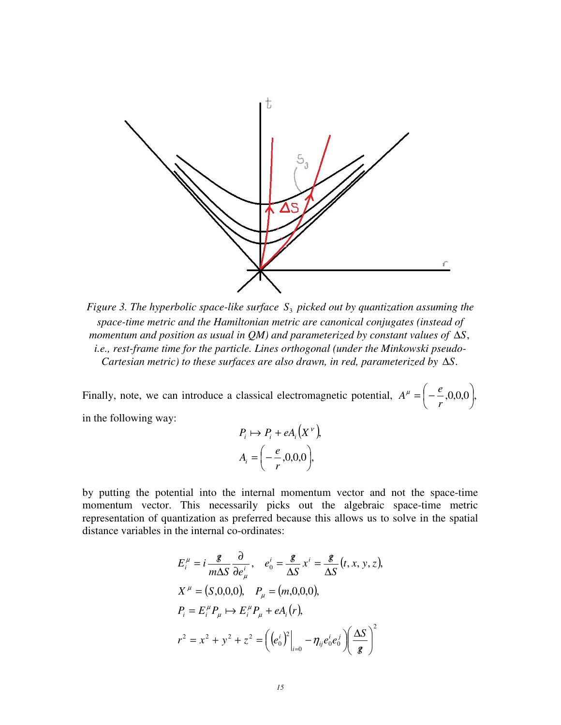

*Figure 3. The hyperbolic space-like surface*  $S<sub>3</sub>$  *picked out by quantization assuming the space-time metric and the Hamiltonian metric are canonical conjugates (instead of momentum and position as usual in QM) and parameterized by constant values of*  $\Delta$ *S*, *i.e., rest-frame time for the particle. Lines orthogonal (under the Minkowski pseudo-Cartesian metric) to these surfaces are also drawn, in red, parameterized by* ∆*S*.

Finally, note, we can introduce a classical electromagnetic potential,  $A^{\mu} = \begin{vmatrix} -2 \\ -0.0,0 \end{vmatrix}$ , J  $\Big(-\frac{e}{2},0,0,0\Big)$  $\setminus$  = − *r*  $A^{\mu} = \left(-\frac{e}{\mu}\right)$ in the following way:

$$
P_i \mapsto P_i + eA_i(X^{\nu}),
$$
  

$$
A_i = \left(-\frac{e}{r}, 0, 0, 0\right),
$$

by putting the potential into the internal momentum vector and not the space-time momentum vector. This necessarily picks out the algebraic space-time metric representation of quantization as preferred because this allows us to solve in the spatial distance variables in the internal co-ordinates:

$$
E_i^{\mu} = i \frac{\mathcal{g}}{m \Delta S} \frac{\partial}{\partial e_{\mu}^{i}}, \quad e_0^i = \frac{\mathcal{g}}{\Delta S} x^i = \frac{\mathcal{g}}{\Delta S} (t, x, y, z),
$$
  
\n
$$
X^{\mu} = (S, 0, 0, 0), \quad P_{\mu} = (m, 0, 0, 0),
$$
  
\n
$$
P_i = E_i^{\mu} P_{\mu} \mapsto E_i^{\mu} P_{\mu} + e A_i(r),
$$
  
\n
$$
r^2 = x^2 + y^2 + z^2 = \left( \left( e_0^i \right)^2 \Big|_{i=0} - \eta_{ij} e_0^i e_0^j \right) \left( \frac{\Delta S}{\mathcal{g}} \right)^2
$$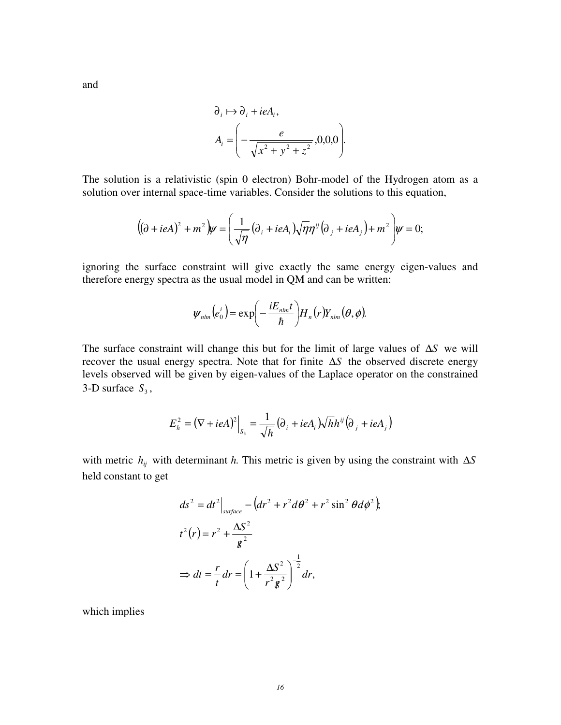$$
\partial_i \mapsto \partial_i + ieA_i,
$$
  

$$
A_i = \left( -\frac{e}{\sqrt{x^2 + y^2 + z^2}}, 0, 0, 0 \right).
$$

The solution is a relativistic (spin 0 electron) Bohr-model of the Hydrogen atom as a solution over internal space-time variables. Consider the solutions to this equation,

$$
((\partial + ieA)^2 + m^2)\psi = \left(\frac{1}{\sqrt{\eta}}(\partial_i + ieA_i)\sqrt{\eta}\eta^{ij}(\partial_j + ieA_j) + m^2\right)\psi = 0;
$$

ignoring the surface constraint will give exactly the same energy eigen-values and therefore energy spectra as the usual model in QM and can be written:

$$
\psi_{nlm}(e_0^i) = \exp\left(-\frac{iE_{nlm}t}{\hbar}\right)H_n(r)Y_{nlm}(\theta,\phi).
$$

The surface constraint will change this but for the limit of large values of ∆*S* we will recover the usual energy spectra. Note that for finite ∆*S* the observed discrete energy levels observed will be given by eigen-values of the Laplace operator on the constrained 3-D surface  $S_3$ ,

$$
E_h^2 = (\nabla + ieA)^2\Big|_{S_3} = \frac{1}{\sqrt{h}} (\partial_i + ieA_i) \sqrt{h}h^{ij} (\partial_j + ieA_j)
$$

with metric  $h_{ij}$  with determinant *h*. This metric is given by using the constraint with  $\Delta S$ held constant to get

$$
ds^{2} = dt^{2} \Big|_{surface} - \left(dr^{2} + r^{2} d\theta^{2} + r^{2} \sin^{2} \theta d\phi^{2}\right),
$$
  

$$
t^{2}(r) = r^{2} + \frac{\Delta S^{2}}{g^{2}}
$$
  

$$
\Rightarrow dt = \frac{r}{t} dr = \left(1 + \frac{\Delta S^{2}}{r^{2} g^{2}}\right)^{-\frac{1}{2}} dr,
$$

which implies

and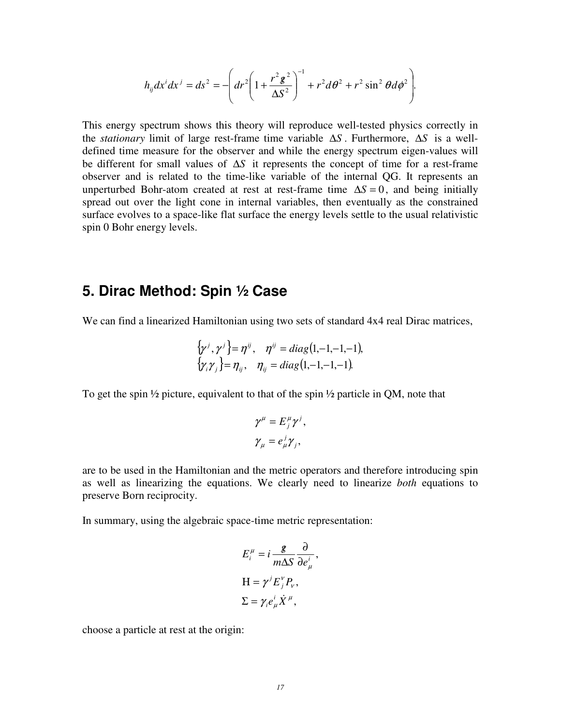$$
h_{ij}dx^i dx^j = ds^2 = -\left(dr^2\left(1 + \frac{r^2 g^2}{\Delta S^2}\right)^{-1} + r^2 d\theta^2 + r^2 \sin^2 \theta d\phi^2\right).
$$

This energy spectrum shows this theory will reproduce well-tested physics correctly in the *stationary* limit of large rest-frame time variable ∆*S* . Furthermore, ∆*S* is a welldefined time measure for the observer and while the energy spectrum eigen-values will be different for small values of ∆*S* it represents the concept of time for a rest-frame observer and is related to the time-like variable of the internal QG. It represents an unperturbed Bohr-atom created at rest at rest-frame time  $\Delta S = 0$ , and being initially spread out over the light cone in internal variables, then eventually as the constrained surface evolves to a space-like flat surface the energy levels settle to the usual relativistic spin 0 Bohr energy levels.

#### **5. Dirac Method: Spin ½ Case**

We can find a linearized Hamiltonian using two sets of standard 4x4 real Dirac matrices,

$$
\begin{aligned} \{\gamma^j, \gamma^j\} &= \eta^{ij}, \quad \eta^{ij} = diag(1, -1, -1, -1), \\ \{\gamma_i \gamma_j\} &= \eta_{ij}, \quad \eta_{ij} = diag(1, -1, -1, -1). \end{aligned}
$$

To get the spin ½ picture, equivalent to that of the spin ½ particle in QM, note that

$$
\gamma^{\mu} = E^{\mu}_{j} \gamma^{j},
$$
  

$$
\gamma_{\mu} = e^{\,j}_{\mu} \gamma_{j},
$$

are to be used in the Hamiltonian and the metric operators and therefore introducing spin as well as linearizing the equations. We clearly need to linearize *both* equations to preserve Born reciprocity.

In summary, using the algebraic space-time metric representation:

$$
E_i^{\mu} = i \frac{\mathcal{g}}{m \Delta S} \frac{\partial}{\partial e_{\mu}^{i}},
$$
  
\n
$$
H = \gamma^{j} E_j^{\nu} P_{\nu},
$$
  
\n
$$
\Sigma = \gamma_i e_{\mu}^{i} \dot{X}^{\mu},
$$

choose a particle at rest at the origin: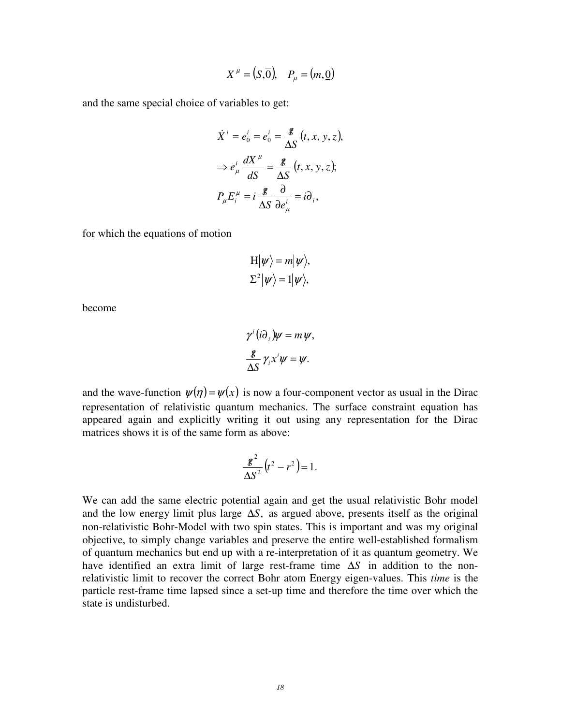$$
X^{\mu} = (S,\overline{0}), \quad P_{\mu} = (m,\underline{0})
$$

and the same special choice of variables to get:

$$
\dot{X}^i = e_0^i = e_0^i = \frac{g}{\Delta S} (t, x, y, z),
$$

$$
\Rightarrow e_\mu^i \frac{dX^\mu}{dS} = \frac{g}{\Delta S} (t, x, y, z);
$$

$$
P_\mu E_i^\mu = i \frac{g}{\Delta S} \frac{\partial}{\partial e_\mu^i} = i \partial_i,
$$

for which the equations of motion

$$
H|\psi\rangle = m|\psi\rangle,
$$
  

$$
\Sigma^2|\psi\rangle = 1|\psi\rangle,
$$

become

$$
\gamma^{i} (i\partial_{i})\psi = m \psi,
$$
  

$$
\frac{\mathscr{L}}{\Delta S} \gamma_{i} x^{i} \psi = \psi.
$$

and the wave-function  $\psi(\eta) = \psi(x)$  is now a four-component vector as usual in the Dirac representation of relativistic quantum mechanics. The surface constraint equation has appeared again and explicitly writing it out using any representation for the Dirac matrices shows it is of the same form as above:

$$
\frac{\mathcal{E}^2}{\Delta S^2} (t^2 - r^2) = 1.
$$

We can add the same electric potential again and get the usual relativistic Bohr model and the low energy limit plus large  $\Delta S$ , as argued above, presents itself as the original non-relativistic Bohr-Model with two spin states. This is important and was my original objective, to simply change variables and preserve the entire well-established formalism of quantum mechanics but end up with a re-interpretation of it as quantum geometry. We have identified an extra limit of large rest-frame time ∆*S* in addition to the nonrelativistic limit to recover the correct Bohr atom Energy eigen-values. This *time* is the particle rest-frame time lapsed since a set-up time and therefore the time over which the state is undisturbed.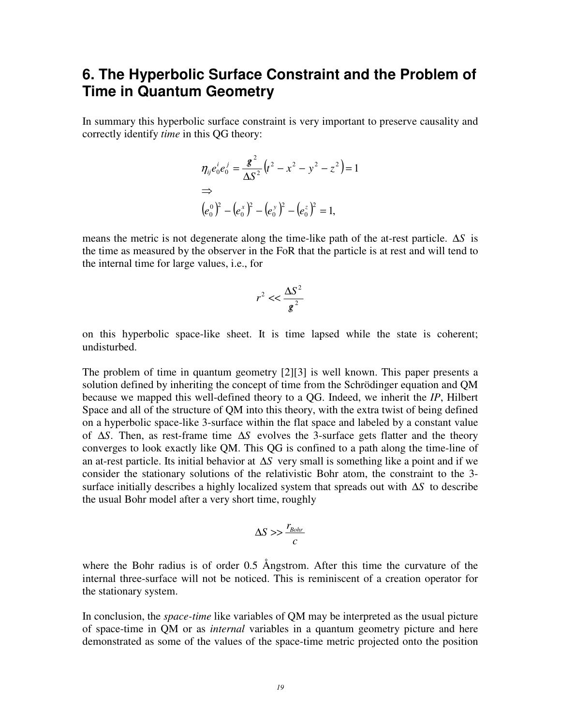#### **6. The Hyperbolic Surface Constraint and the Problem of Time in Quantum Geometry**

In summary this hyperbolic surface constraint is very important to preserve causality and correctly identify *time* in this QG theory:

$$
\eta_{ij}e_0^i e_0^j = \frac{g^2}{\Delta S^2} (t^2 - x^2 - y^2 - z^2) = 1
$$
  
\n
$$
\Rightarrow (e_0^0)^2 - (e_0^x)^2 - (e_0^y)^2 - (e_0^z)^2 = 1,
$$

means the metric is not degenerate along the time-like path of the at-rest particle. ∆*S* is the time as measured by the observer in the FoR that the particle is at rest and will tend to the internal time for large values, i.e., for

$$
r^2 \ll \frac{\Delta S^2}{g^2}
$$

on this hyperbolic space-like sheet. It is time lapsed while the state is coherent; undisturbed.

The problem of time in quantum geometry [2][3] is well known. This paper presents a solution defined by inheriting the concept of time from the Schrödinger equation and QM because we mapped this well-defined theory to a QG. Indeed, we inherit the *IP*, Hilbert Space and all of the structure of QM into this theory, with the extra twist of being defined on a hyperbolic space-like 3-surface within the flat space and labeled by a constant value of . ∆*S* Then, as rest-frame time ∆*S* evolves the 3-surface gets flatter and the theory converges to look exactly like QM. This QG is confined to a path along the time-line of an at-rest particle. Its initial behavior at ∆*S* very small is something like a point and if we consider the stationary solutions of the relativistic Bohr atom, the constraint to the 3 surface initially describes a highly localized system that spreads out with ∆*S* to describe the usual Bohr model after a very short time, roughly

$$
\Delta S >> \frac{r_{Bohr}}{c}
$$

where the Bohr radius is of order 0.5 Ångstrom. After this time the curvature of the internal three-surface will not be noticed. This is reminiscent of a creation operator for the stationary system.

In conclusion, the *space-time* like variables of QM may be interpreted as the usual picture of space-time in QM or as *internal* variables in a quantum geometry picture and here demonstrated as some of the values of the space-time metric projected onto the position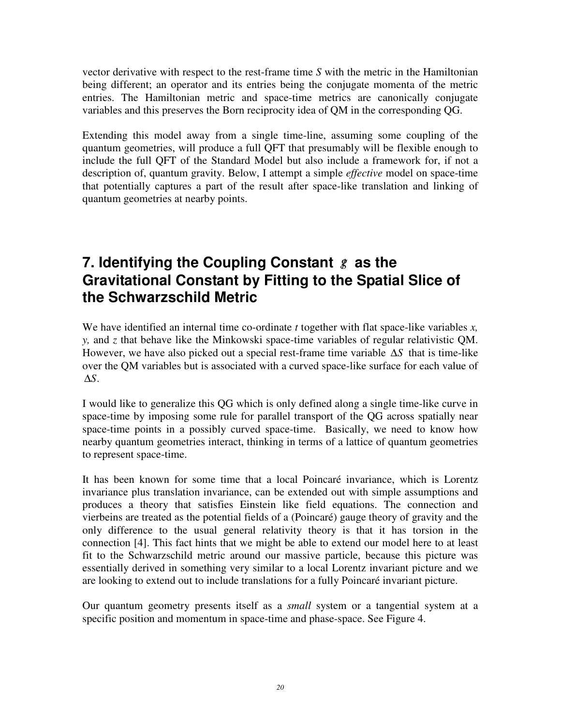vector derivative with respect to the rest-frame time *S* with the metric in the Hamiltonian being different; an operator and its entries being the conjugate momenta of the metric entries. The Hamiltonian metric and space-time metrics are canonically conjugate variables and this preserves the Born reciprocity idea of QM in the corresponding QG.

Extending this model away from a single time-line, assuming some coupling of the quantum geometries, will produce a full QFT that presumably will be flexible enough to include the full QFT of the Standard Model but also include a framework for, if not a description of, quantum gravity. Below, I attempt a simple *effective* model on space-time that potentially captures a part of the result after space-like translation and linking of quantum geometries at nearby points.

## **7. Identifying the Coupling Constant** *g*/ **as the Gravitational Constant by Fitting to the Spatial Slice of the Schwarzschild Metric**

We have identified an internal time co-ordinate *t* together with flat space-like variables *x, y,* and *z* that behave like the Minkowski space-time variables of regular relativistic QM. However, we have also picked out a special rest-frame time variable ∆*S* that is time-like over the QM variables but is associated with a curved space-like surface for each value of ∆*S*.

I would like to generalize this QG which is only defined along a single time-like curve in space-time by imposing some rule for parallel transport of the QG across spatially near space-time points in a possibly curved space-time. Basically, we need to know how nearby quantum geometries interact, thinking in terms of a lattice of quantum geometries to represent space-time.

It has been known for some time that a local Poincaré invariance, which is Lorentz invariance plus translation invariance, can be extended out with simple assumptions and produces a theory that satisfies Einstein like field equations. The connection and vierbeins are treated as the potential fields of a (Poincaré) gauge theory of gravity and the only difference to the usual general relativity theory is that it has torsion in the connection [4]. This fact hints that we might be able to extend our model here to at least fit to the Schwarzschild metric around our massive particle, because this picture was essentially derived in something very similar to a local Lorentz invariant picture and we are looking to extend out to include translations for a fully Poincaré invariant picture.

Our quantum geometry presents itself as a *small* system or a tangential system at a specific position and momentum in space-time and phase-space. See Figure 4.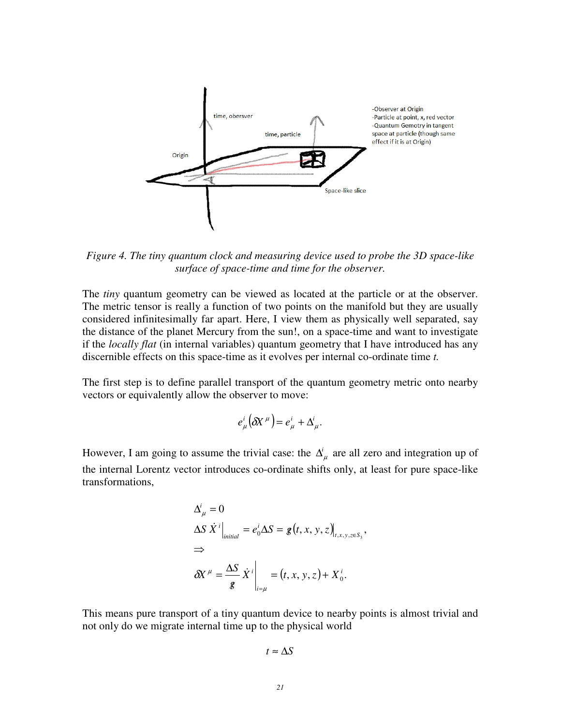

*Figure 4. The tiny quantum clock and measuring device used to probe the 3D space-like surface of space-time and time for the observer.* 

The *tiny* quantum geometry can be viewed as located at the particle or at the observer. The metric tensor is really a function of two points on the manifold but they are usually considered infinitesimally far apart. Here, I view them as physically well separated, say the distance of the planet Mercury from the sun!, on a space-time and want to investigate if the *locally flat* (in internal variables) quantum geometry that I have introduced has any discernible effects on this space-time as it evolves per internal co-ordinate time *t.* 

The first step is to define parallel transport of the quantum geometry metric onto nearby vectors or equivalently allow the observer to move:

$$
e^i_\mu\big(\delta X^{\mu}\big)=e^i_\mu+\Delta^i_\mu.
$$

However, I am going to assume the trivial case: the  $\Delta^i_\mu$  are all zero and integration up of the internal Lorentz vector introduces co-ordinate shifts only, at least for pure space-like transformations,

$$
\Delta_{\mu}^{i} = 0
$$
\n
$$
\Delta S \dot{X}^{i} \Big|_{initial} = e_{0}^{i} \Delta S = g(t, x, y, z) \Big|_{t, x, y, z \in S_{3}},
$$
\n
$$
\Rightarrow
$$
\n
$$
\delta X^{\mu} = \frac{\Delta S}{g} \dot{X}^{i} \Big|_{t = \mu} = (t, x, y, z) + X_{0}^{i}.
$$

This means pure transport of a tiny quantum device to nearby points is almost trivial and not only do we migrate internal time up to the physical world

$$
t\approx \Delta S
$$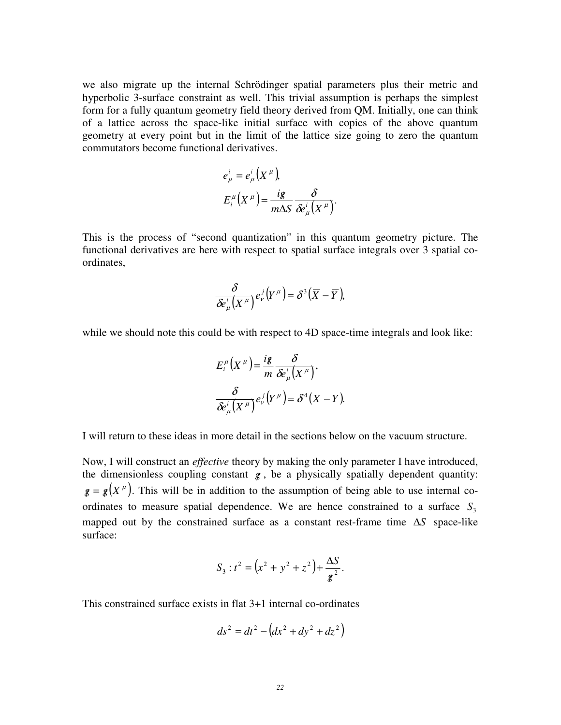we also migrate up the internal Schrödinger spatial parameters plus their metric and hyperbolic 3-surface constraint as well. This trivial assumption is perhaps the simplest form for a fully quantum geometry field theory derived from QM. Initially, one can think of a lattice across the space-like initial surface with copies of the above quantum geometry at every point but in the limit of the lattice size going to zero the quantum commutators become functional derivatives.

$$
e_{\mu}^{i} = e_{\mu}^{i} (X^{\mu}),
$$
  

$$
E_{i}^{\mu} (X^{\mu}) = \frac{ig}{m\Delta S} \frac{\delta}{\delta e_{\mu}^{i} (X^{\mu})}.
$$

This is the process of "second quantization" in this quantum geometry picture. The functional derivatives are here with respect to spatial surface integrals over 3 spatial coordinates,

$$
\frac{\delta}{\delta e_{\mu}^{i}\big(X^{\,\mu}\big)}e_{\nu}^{\,j}\big(Y^{\,\mu}\big)=\delta^{3}\big(\overline{X}-\overline{Y}\big),
$$

while we should note this could be with respect to 4D space-time integrals and look like:

$$
E_i^{\mu}\left(X^{\mu}\right) = \frac{ig}{m} \frac{\delta}{\delta e_{\mu}^i\left(X^{\mu}\right)},
$$
  

$$
\frac{\delta}{\delta e_{\mu}^i\left(X^{\mu}\right)} e_{\nu}^j\left(Y^{\mu}\right) = \delta^4\left(X - Y\right).
$$

I will return to these ideas in more detail in the sections below on the vacuum structure.

Now, I will construct an *effective* theory by making the only parameter I have introduced, the dimensionless coupling constant  $g$ , be a physically spatially dependent quantity:  $g = g(X^{\mu})$ . This will be in addition to the assumption of being able to use internal coordinates to measure spatial dependence. We are hence constrained to a surface  $S_3$ mapped out by the constrained surface as a constant rest-frame time ∆*S* space-like surface:

$$
S_3: t^2 = \left(x^2 + y^2 + z^2\right) + \frac{\Delta S}{g^2}.
$$

This constrained surface exists in flat 3+1 internal co-ordinates

$$
ds^2 = dt^2 - \left(dx^2 + dy^2 + dz^2\right)
$$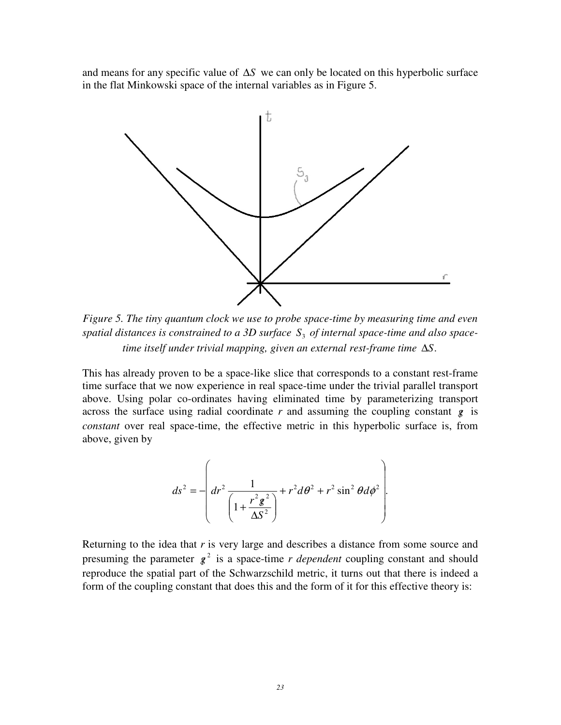and means for any specific value of ∆*S* we can only be located on this hyperbolic surface in the flat Minkowski space of the internal variables as in Figure 5.



*Figure 5. The tiny quantum clock we use to probe space-time by measuring time and even spatial distances is constrained to a 3D surface* <sup>3</sup> *S of internal space-time and also spacetime itself under trivial mapping, given an external rest-frame time* ∆*S*.

This has already proven to be a space-like slice that corresponds to a constant rest-frame time surface that we now experience in real space-time under the trivial parallel transport above. Using polar co-ordinates having eliminated time by parameterizing transport across the surface using radial coordinate  $r$  and assuming the coupling constant  $g$  is *constant* over real space-time, the effective metric in this hyperbolic surface is, from above, given by

$$
ds^{2} = -\left( dr^{2} \frac{1}{\left( 1 + \frac{r^{2} g^{2}}{\Delta S^{2}} \right)} + r^{2} d\theta^{2} + r^{2} \sin^{2} \theta d\phi^{2} \right).
$$

Returning to the idea that *r* is very large and describes a distance from some source and presuming the parameter  $g^2$  is a space-time *r dependent* coupling constant and should reproduce the spatial part of the Schwarzschild metric, it turns out that there is indeed a form of the coupling constant that does this and the form of it for this effective theory is: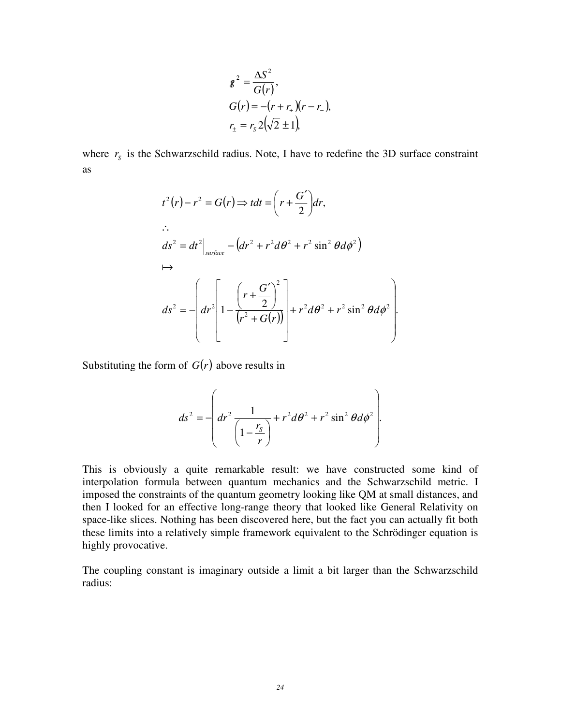$$
g^{2} = \frac{\Delta S^{2}}{G(r)},
$$
  
\n
$$
G(r) = -(r + r_{+})(r - r_{-}),
$$
  
\n
$$
r_{\pm} = r_{S} 2(\sqrt{2} \pm 1),
$$

where  $r_s$  is the Schwarzschild radius. Note, I have to redefine the 3D surface constraint as

$$
t^{2}(r) - r^{2} = G(r) \Rightarrow tdt = \left(r + \frac{G'}{2}\right)dr,
$$
  
\n
$$
\therefore ds^{2} = dt^{2}\Big|_{surface} - \left(dr^{2} + r^{2}d\theta^{2} + r^{2}\sin^{2}\theta d\phi^{2}\right)
$$
  
\n
$$
ds^{2} = -\left(dr^{2}\left[1 - \frac{\left(r + \frac{G'}{2}\right)^{2}}{\left(r^{2} + G(r)\right)}\right] + r^{2}d\theta^{2} + r^{2}\sin^{2}\theta d\phi^{2}\right].
$$

Substituting the form of  $G(r)$  above results in

$$
ds^{2} = -\left( dr^{2} \frac{1}{\left(1 - \frac{r_{S}}{r}\right)} + r^{2} d\theta^{2} + r^{2} \sin^{2} \theta d\phi^{2} \right).
$$

This is obviously a quite remarkable result: we have constructed some kind of interpolation formula between quantum mechanics and the Schwarzschild metric. I imposed the constraints of the quantum geometry looking like QM at small distances, and then I looked for an effective long-range theory that looked like General Relativity on space-like slices. Nothing has been discovered here, but the fact you can actually fit both these limits into a relatively simple framework equivalent to the Schrödinger equation is highly provocative.

The coupling constant is imaginary outside a limit a bit larger than the Schwarzschild radius: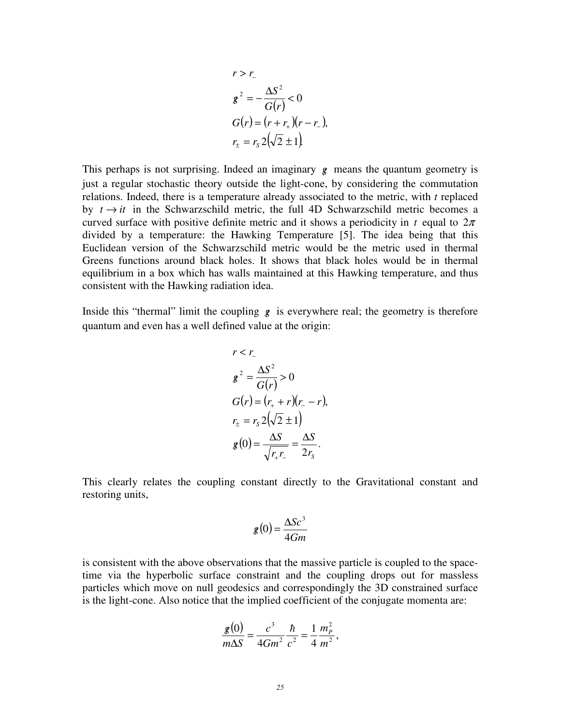$$
r > r_{-}
$$
\n
$$
g^{2} = -\frac{\Delta S^{2}}{G(r)} < 0
$$
\n
$$
G(r) = (r + r_{+})(r - r_{-}),
$$
\n
$$
r_{+} = r_{s} 2(\sqrt{2} \pm 1).
$$

This perhaps is not surprising. Indeed an imaginary *g*/ means the quantum geometry is just a regular stochastic theory outside the light-cone, by considering the commutation relations. Indeed, there is a temperature already associated to the metric, with *t* replaced by  $t \rightarrow it$  in the Schwarzschild metric, the full 4D Schwarzschild metric becomes a curved surface with positive definite metric and it shows a periodicity in *t* equal to  $2\pi$ divided by a temperature: the Hawking Temperature [5]. The idea being that this Euclidean version of the Schwarzschild metric would be the metric used in thermal Greens functions around black holes. It shows that black holes would be in thermal equilibrium in a box which has walls maintained at this Hawking temperature, and thus consistent with the Hawking radiation idea.

Inside this "thermal" limit the coupling  $g$  is everywhere real; the geometry is therefore quantum and even has a well defined value at the origin:

$$
r < r_{-}
$$
\n
$$
g^{2} = \frac{\Delta S^{2}}{G(r)} > 0
$$
\n
$$
G(r) = (r_{+} + r)(r_{-} - r),
$$
\n
$$
r_{+} = r_{s} 2(\sqrt{2} \pm 1)
$$
\n
$$
g(0) = \frac{\Delta S}{\sqrt{r_{+} r_{-}}} = \frac{\Delta S}{2r_{s}}.
$$

This clearly relates the coupling constant directly to the Gravitational constant and restoring units,

$$
g(0) = \frac{\Delta Sc^3}{4Gm}
$$

is consistent with the above observations that the massive particle is coupled to the spacetime via the hyperbolic surface constraint and the coupling drops out for massless particles which move on null geodesics and correspondingly the 3D constrained surface is the light-cone. Also notice that the implied coefficient of the conjugate momenta are:

$$
\frac{g(0)}{m\Delta S} = \frac{c^3}{4Gm^2} \frac{\hbar}{c^2} = \frac{1}{4} \frac{m_P^2}{m^2},
$$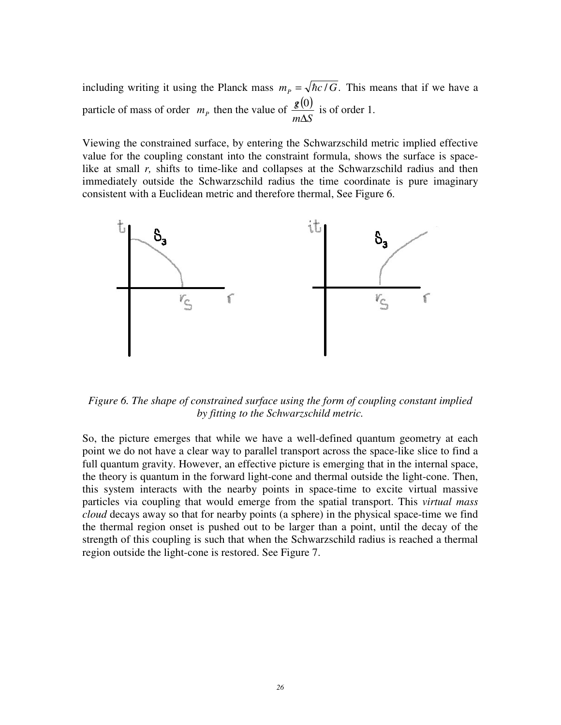including writing it using the Planck mass  $m_p = \sqrt{\hbar c/G}$ . This means that if we have a particle of mass of order  $m_p$  then the value of  $\frac{g(0)}{m\Delta S}$  $m\Delta S$ *g* ∆  $\frac{g(0)}{1.5}$  is of order 1.

Viewing the constrained surface, by entering the Schwarzschild metric implied effective value for the coupling constant into the constraint formula, shows the surface is spacelike at small *r*, shifts to time-like and collapses at the Schwarzschild radius and then immediately outside the Schwarzschild radius the time coordinate is pure imaginary consistent with a Euclidean metric and therefore thermal, See Figure 6.



*Figure 6. The shape of constrained surface using the form of coupling constant implied by fitting to the Schwarzschild metric.*

So, the picture emerges that while we have a well-defined quantum geometry at each point we do not have a clear way to parallel transport across the space-like slice to find a full quantum gravity. However, an effective picture is emerging that in the internal space, the theory is quantum in the forward light-cone and thermal outside the light-cone. Then, this system interacts with the nearby points in space-time to excite virtual massive particles via coupling that would emerge from the spatial transport. This *virtual mass cloud* decays away so that for nearby points (a sphere) in the physical space-time we find the thermal region onset is pushed out to be larger than a point, until the decay of the strength of this coupling is such that when the Schwarzschild radius is reached a thermal region outside the light-cone is restored. See Figure 7.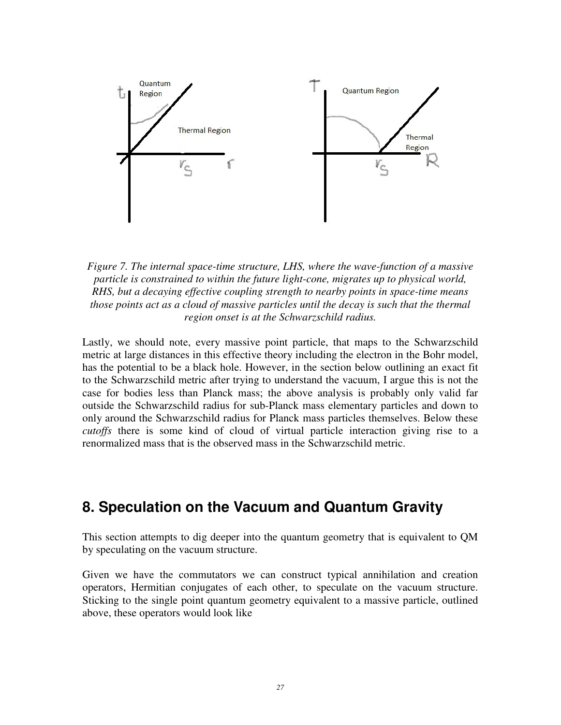

*Figure 7. The internal space-time structure, LHS, where the wave-function of a massive particle is constrained to within the future light-cone, migrates up to physical world, RHS, but a decaying effective coupling strength to nearby points in space-time means those points act as a cloud of massive particles until the decay is such that the thermal region onset is at the Schwarzschild radius.* 

Lastly, we should note, every massive point particle, that maps to the Schwarzschild metric at large distances in this effective theory including the electron in the Bohr model, has the potential to be a black hole. However, in the section below outlining an exact fit to the Schwarzschild metric after trying to understand the vacuum, I argue this is not the case for bodies less than Planck mass; the above analysis is probably only valid far outside the Schwarzschild radius for sub-Planck mass elementary particles and down to only around the Schwarzschild radius for Planck mass particles themselves. Below these *cutoffs* there is some kind of cloud of virtual particle interaction giving rise to a renormalized mass that is the observed mass in the Schwarzschild metric.

### **8. Speculation on the Vacuum and Quantum Gravity**

This section attempts to dig deeper into the quantum geometry that is equivalent to QM by speculating on the vacuum structure.

Given we have the commutators we can construct typical annihilation and creation operators, Hermitian conjugates of each other, to speculate on the vacuum structure. Sticking to the single point quantum geometry equivalent to a massive particle, outlined above, these operators would look like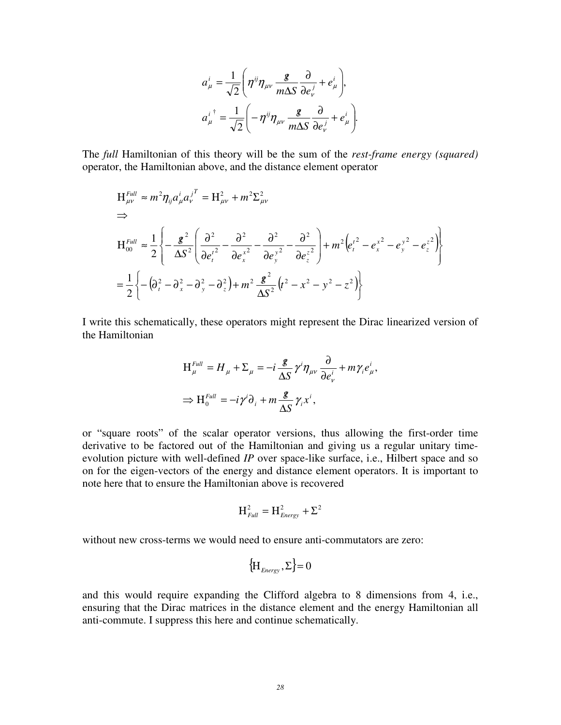$$
a_{\mu}^{i} = \frac{1}{\sqrt{2}} \left( \eta^{ij} \eta_{\mu\nu} \frac{\mathbf{g}}{m \Delta S} \frac{\partial}{\partial e_{\nu}^{j}} + e_{\mu}^{i} \right),
$$
  

$$
a_{\mu}^{i \dagger} = \frac{1}{\sqrt{2}} \left( -\eta^{ij} \eta_{\mu\nu} \frac{\mathbf{g}}{m \Delta S} \frac{\partial}{\partial e_{\nu}^{j}} + e_{\mu}^{i} \right).
$$

The *full* Hamiltonian of this theory will be the sum of the *rest-frame energy (squared)* operator, the Hamiltonian above, and the distance element operator

$$
H_{\mu\nu}^{Full} \approx m^2 \eta_{ij} a_{\mu}^i a_{\nu}^{j^T} = H_{\mu\nu}^2 + m^2 \Sigma_{\mu\nu}^2
$$
  
\n
$$
\Rightarrow
$$
  
\n
$$
H_{00}^{Full} \approx \frac{1}{2} \left\{ -\frac{g^2}{\Delta S^2} \left( \frac{\partial^2}{\partial e_i^i} - \frac{\partial^2}{\partial e_x^i} - \frac{\partial^2}{\partial e_y^i} - \frac{\partial^2}{\partial e_z^i} \right) + m^2 \left( e_i^i^2 - e_x^i^2 - e_y^i^2 - e_z^2 \right) \right\}
$$
  
\n
$$
= \frac{1}{2} \left\{ -\left( \partial_i^2 - \partial_x^2 - \partial_y^2 - \partial_z^2 \right) + m^2 \frac{g^2}{\Delta S^2} \left( t^2 - x^2 - y^2 - z^2 \right) \right\}
$$

I write this schematically, these operators might represent the Dirac linearized version of the Hamiltonian

$$
H_{\mu}^{Full} = H_{\mu} + \Sigma_{\mu} = -i \frac{\mathcal{E}}{\Delta S} \gamma^{i} \eta_{\mu\nu} \frac{\partial}{\partial e_{\nu}^{i}} + m \gamma_{i} e_{\mu}^{i},
$$
  

$$
\Rightarrow H_{0}^{Full} = -i \gamma^{i} \partial_{i} + m \frac{\mathcal{E}}{\Delta S} \gamma_{i} x^{i},
$$

or "square roots" of the scalar operator versions, thus allowing the first-order time derivative to be factored out of the Hamiltonian and giving us a regular unitary timeevolution picture with well-defined *IP* over space-like surface, i.e., Hilbert space and so on for the eigen-vectors of the energy and distance element operators. It is important to note here that to ensure the Hamiltonian above is recovered

$$
H_{\text{Full}}^2 = H_{\text{Energy}}^2 + \Sigma^2
$$

without new cross-terms we would need to ensure anti-commutators are zero:

$$
\{\mathbf H_{\text{Energy}}, \Sigma\} = 0
$$

and this would require expanding the Clifford algebra to 8 dimensions from 4, i.e., ensuring that the Dirac matrices in the distance element and the energy Hamiltonian all anti-commute. I suppress this here and continue schematically.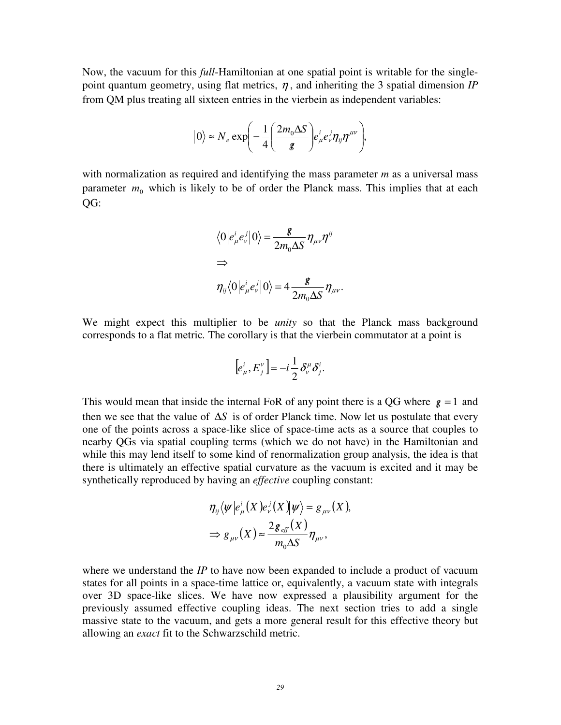Now, the vacuum for this *full*-Hamiltonian at one spatial point is writable for the singlepoint quantum geometry, using flat metrics,  $\eta$ , and inheriting the 3 spatial dimension *IP* from QM plus treating all sixteen entries in the vierbein as independent variables:

$$
|0\rangle \approx N_e \exp\left(-\frac{1}{4}\left(\frac{2m_0\Delta S}{g}\right)e^i_\mu e^j_\nu \eta_{ij}\eta^{\mu\nu}\right),\,
$$

with normalization as required and identifying the mass parameter *m* as a universal mass parameter  $m_0$  which is likely to be of order the Planck mass. This implies that at each  $OG:$ 

$$
\langle 0 | e^i_\mu e^j_\nu | 0 \rangle = \frac{\mathcal{Z}}{2m_0 \Delta S} \eta_{\mu\nu} \eta^{ij}
$$
  
\n
$$
\Rightarrow
$$
  
\n
$$
\eta_{ij} \langle 0 | e^i_\mu e^j_\nu | 0 \rangle = 4 \frac{\mathcal{Z}}{2m_0 \Delta S} \eta_{\mu\nu}.
$$

We might expect this multiplier to be *unity* so that the Planck mass background corresponds to a flat metric*.* The corollary is that the vierbein commutator at a point is

$$
[e_{\mu}^i, E_j^{\nu}] = -i\frac{1}{2}\delta_{\nu}^{\mu}\delta_j^i.
$$

This would mean that inside the internal FoR of any point there is a QG where  $g = 1$  and then we see that the value of ∆*S* is of order Planck time. Now let us postulate that every one of the points across a space-like slice of space-time acts as a source that couples to nearby QGs via spatial coupling terms (which we do not have) in the Hamiltonian and while this may lend itself to some kind of renormalization group analysis, the idea is that there is ultimately an effective spatial curvature as the vacuum is excited and it may be synthetically reproduced by having an *effective* coupling constant:

$$
\eta_{ij}\langle \psi | e_{\mu}^{i}(X) e_{\nu}^{j}(X) | \psi \rangle = g_{\mu\nu}(X),
$$
  

$$
\Rightarrow g_{\mu\nu}(X) \approx \frac{2g_{\text{eff}}(X)}{m_{0}\Delta S} \eta_{\mu\nu},
$$

where we understand the *IP* to have now been expanded to include a product of vacuum states for all points in a space-time lattice or, equivalently, a vacuum state with integrals over 3D space-like slices. We have now expressed a plausibility argument for the previously assumed effective coupling ideas. The next section tries to add a single massive state to the vacuum, and gets a more general result for this effective theory but allowing an *exact* fit to the Schwarzschild metric.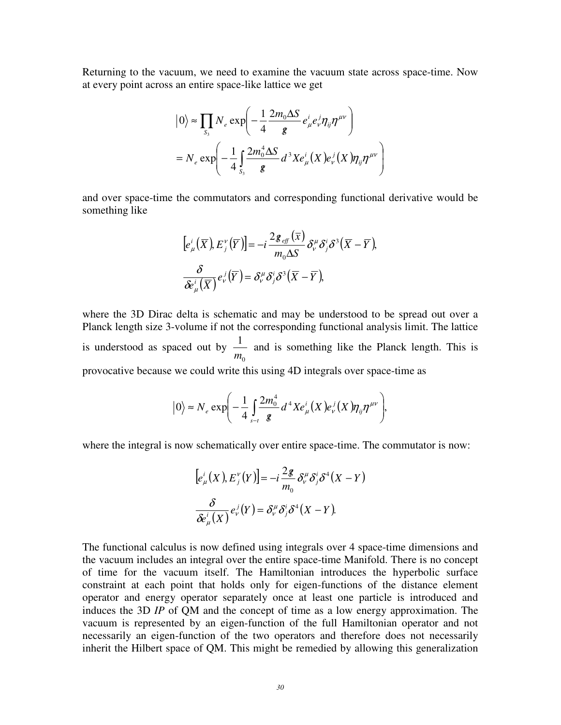Returning to the vacuum, we need to examine the vacuum state across space-time. Now at every point across an entire space-like lattice we get

$$
|0\rangle \approx \prod_{s_3} N_e \exp\left(-\frac{1}{4} \frac{2m_0 \Delta S}{g} e^i_\mu e^j_\nu \eta_{ij} \eta^{\mu\nu}\right)
$$
  
=  $N_e \exp\left(-\frac{1}{4} \int_{s_3} \frac{2m_0^4 \Delta S}{g} d^3 X e^i_\mu(X) e^j_\nu(X) \eta_{ij} \eta^{\mu\nu}\right)$ 

and over space-time the commutators and corresponding functional derivative would be something like

$$
[e_{\mu}^{i}(\overline{X}), E_{j}^{\nu}(\overline{Y})] = -i \frac{2 \mathcal{L}_{eff}(\overline{X})}{m_{0} \Delta S} \delta_{\nu}^{\mu} \delta_{j}^{i} \delta^{3} (\overline{X} - \overline{Y}),
$$
  

$$
\frac{\delta}{\delta \epsilon_{\mu}^{i}(\overline{X})} e_{\nu}^{j}(\overline{Y}) = \delta_{\nu}^{\mu} \delta_{j}^{i} \delta^{3} (\overline{X} - \overline{Y}),
$$

where the 3D Dirac delta is schematic and may be understood to be spread out over a Planck length size 3-volume if not the corresponding functional analysis limit. The lattice is understood as spaced out by  $\mathbf{0}$ 1 *m* and is something like the Planck length. This is provocative because we could write this using 4D integrals over space-time as

$$
\big|0\big\rangle \approx N_e \exp\bigg(-\frac{1}{4}\int_{s-t}^{\infty}\frac{2m_0^4}{g}d^4X e^i_{\mu}\big(X\big)e^j_{\nu}\big(X\big)\eta_{ij}\eta^{\mu\nu}\bigg),\,
$$

where the integral is now schematically over entire space-time. The commutator is now:

$$
[e_{\mu}^{i}(X), E_{j}^{\nu}(Y)] = -i\frac{2g}{m_{0}}\delta_{\nu}^{\mu}\delta_{j}^{i}\delta^{4}(X - Y)
$$

$$
\frac{\delta}{\delta e_{\mu}^{i}(X)}e_{\nu}^{j}(Y) = \delta_{\nu}^{\mu}\delta_{j}^{i}\delta^{4}(X - Y).
$$

The functional calculus is now defined using integrals over 4 space-time dimensions and the vacuum includes an integral over the entire space-time Manifold. There is no concept of time for the vacuum itself. The Hamiltonian introduces the hyperbolic surface constraint at each point that holds only for eigen-functions of the distance element operator and energy operator separately once at least one particle is introduced and induces the 3D *IP* of QM and the concept of time as a low energy approximation. The vacuum is represented by an eigen-function of the full Hamiltonian operator and not necessarily an eigen-function of the two operators and therefore does not necessarily inherit the Hilbert space of QM. This might be remedied by allowing this generalization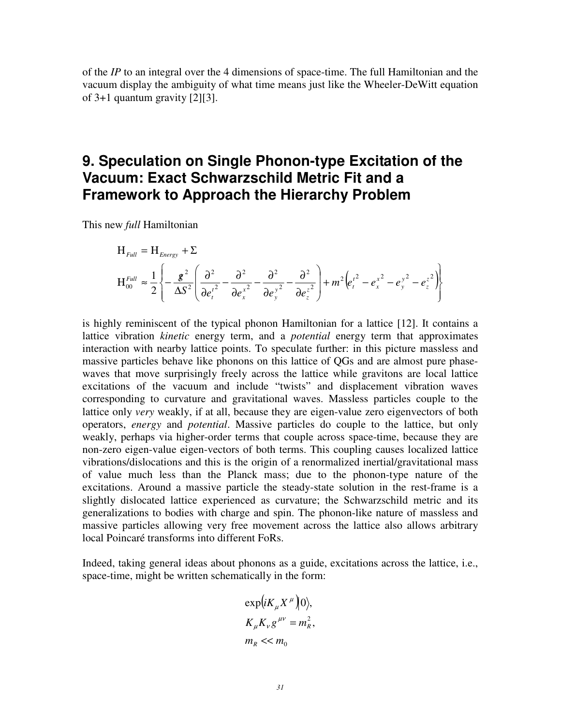of the *IP* to an integral over the 4 dimensions of space-time. The full Hamiltonian and the vacuum display the ambiguity of what time means just like the Wheeler-DeWitt equation of 3+1 quantum gravity [2][3].

### **9. Speculation on Single Phonon-type Excitation of the Vacuum: Exact Schwarzschild Metric Fit and a Framework to Approach the Hierarchy Problem**

This new *full* Hamiltonian

$$
H_{Full} = H_{Energy} + \Sigma
$$
  
\n
$$
H_{roll}^{Full} \approx \frac{1}{2} \left\{ -\frac{g^2}{\Delta S^2} \left( \frac{\partial^2}{\partial e_t^2} - \frac{\partial^2}{\partial e_x^2} - \frac{\partial^2}{\partial e_y^2} - \frac{\partial^2}{\partial e_z^2} \right) + m^2 \left( e_t^2 - e_x^2 - e_y^2 - e_z^2 \right) \right\}
$$

is highly reminiscent of the typical phonon Hamiltonian for a lattice [12]. It contains a lattice vibration *kinetic* energy term, and a *potential* energy term that approximates interaction with nearby lattice points. To speculate further: in this picture massless and massive particles behave like phonons on this lattice of QGs and are almost pure phasewaves that move surprisingly freely across the lattice while gravitons are local lattice excitations of the vacuum and include "twists" and displacement vibration waves corresponding to curvature and gravitational waves. Massless particles couple to the lattice only *very* weakly, if at all, because they are eigen-value zero eigenvectors of both operators, *energy* and *potential*. Massive particles do couple to the lattice, but only weakly, perhaps via higher-order terms that couple across space-time, because they are non-zero eigen-value eigen-vectors of both terms. This coupling causes localized lattice vibrations/dislocations and this is the origin of a renormalized inertial/gravitational mass of value much less than the Planck mass; due to the phonon-type nature of the excitations. Around a massive particle the steady-state solution in the rest-frame is a slightly dislocated lattice experienced as curvature; the Schwarzschild metric and its generalizations to bodies with charge and spin. The phonon-like nature of massless and massive particles allowing very free movement across the lattice also allows arbitrary local Poincaré transforms into different FoRs.

Indeed, taking general ideas about phonons as a guide, excitations across the lattice, i.e., space-time, might be written schematically in the form:

$$
\exp\left(iK_{\mu}X^{\mu}\right)|0\rangle,
$$
  
\n
$$
K_{\mu}K_{\nu}g^{\mu\nu}=m_{R}^{2},
$$
  
\n
$$
m_{R}<< m_{0}
$$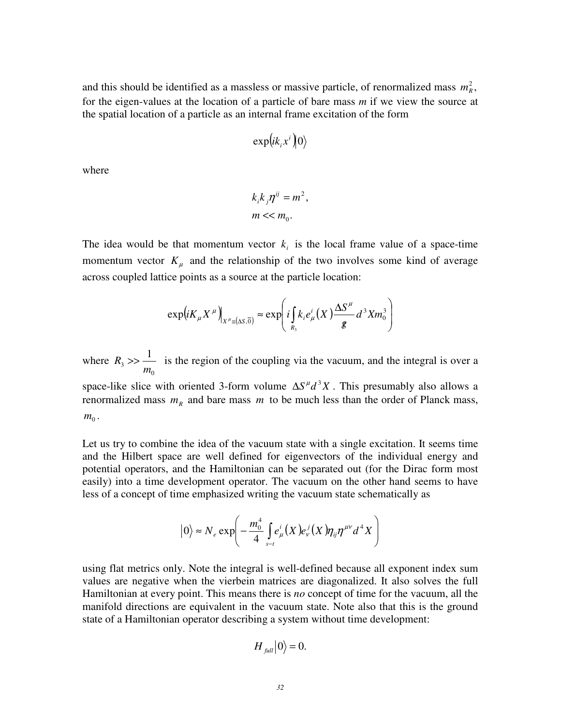and this should be identified as a massless or massive particle, of renormalized mass  $m_R^2$ , for the eigen-values at the location of a particle of bare mass *m* if we view the source at the spatial location of a particle as an internal frame excitation of the form

$$
\exp(i k_i x^i\big)0\rangle
$$

where

$$
k_i k_j \eta^{ij} = m^2,
$$
  

$$
m \ll m_0.
$$

The idea would be that momentum vector  $k_i$  is the local frame value of a space-time momentum vector  $K_{\mu}$  and the relationship of the two involves some kind of average across coupled lattice points as a source at the particle location:

$$
\exp\left(iK_{\mu}X^{\mu}\right)_{X^{\mu}=(\Delta S,\overline{0})}\approx\exp\left(i\int_{R_3}k_ie_{\mu}^i(X)\frac{\Delta S^{\mu}}{g}d^3Xm_0^3\right)
$$

where 0 3 1 *m*  $R_3 \gg$  is the region of the coupling via the vacuum, and the integral is over a

space-like slice with oriented 3-form volume  $\Delta S^{\mu} d^3 X$ . This presumably also allows a renormalized mass  $m_R$  and bare mass  $m$  to be much less than the order of Planck mass,  $m_0^{\dagger}$ .

Let us try to combine the idea of the vacuum state with a single excitation. It seems time and the Hilbert space are well defined for eigenvectors of the individual energy and potential operators, and the Hamiltonian can be separated out (for the Dirac form most easily) into a time development operator. The vacuum on the other hand seems to have less of a concept of time emphasized writing the vacuum state schematically as

$$
|0\rangle \approx N_e \exp\left(-\frac{m_0^4}{4} \int_{s-t}^t e^i_\mu(X) e^j_\nu(X) \eta_{ij} \eta^{\mu\nu} d^4 X\right)
$$

using flat metrics only. Note the integral is well-defined because all exponent index sum values are negative when the vierbein matrices are diagonalized. It also solves the full Hamiltonian at every point. This means there is *no* concept of time for the vacuum, all the manifold directions are equivalent in the vacuum state. Note also that this is the ground state of a Hamiltonian operator describing a system without time development:

$$
H_{\text{full}}|0\rangle = 0.
$$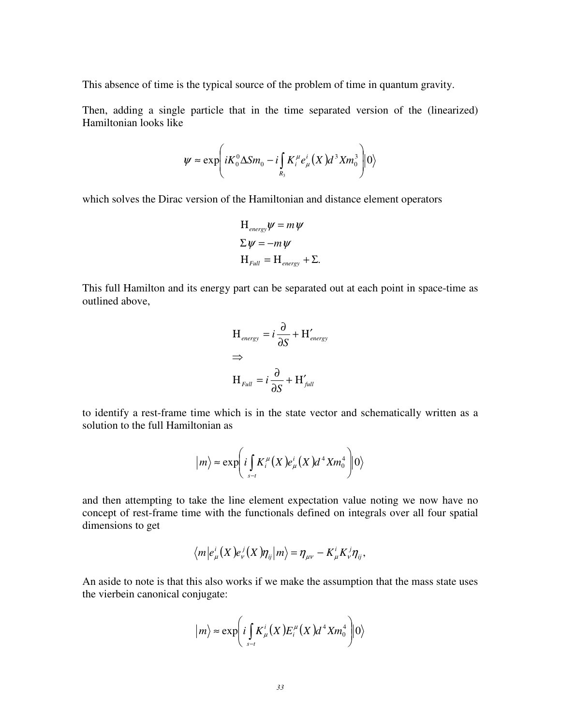This absence of time is the typical source of the problem of time in quantum gravity.

Then, adding a single particle that in the time separated version of the (linearized) Hamiltonian looks like

$$
\psi \approx \exp \left( i K_0^0 \Delta S m_0 - i \int_{R_3} K_i^{\mu} e_{\mu}^i(X) d^3 X m_0^3 \right) |0\rangle
$$

which solves the Dirac version of the Hamiltonian and distance element operators

$$
H_{\text{energy}}\psi = m\psi
$$
  
\n
$$
\Sigma \psi = -m\psi
$$
  
\n
$$
H_{\text{Full}} = H_{\text{energy}} + \Sigma.
$$

This full Hamilton and its energy part can be separated out at each point in space-time as outlined above,

$$
H_{\text{energy}} = i \frac{\partial}{\partial S} + H'_{\text{energy}}
$$
  
\n
$$
\Rightarrow
$$
  
\n
$$
H_{\text{Full}} = i \frac{\partial}{\partial S} + H'_{\text{full}}
$$

to identify a rest-frame time which is in the state vector and schematically written as a solution to the full Hamiltonian as

$$
|m\rangle \approx \exp \left(i \int_{s-t} K_i^{\mu}(X) e_{\mu}^i(X) d^4 X m_0^4 \right) |0\rangle
$$

and then attempting to take the line element expectation value noting we now have no concept of rest-frame time with the functionals defined on integrals over all four spatial dimensions to get

$$
\langle m|e_{\mu}^{i}(X)e_{\nu}^{j}(X)\eta_{ij}|m\rangle = \eta_{\mu\nu} - K_{\mu}^{i}K_{\nu}^{j}\eta_{ij},
$$

An aside to note is that this also works if we make the assumption that the mass state uses the vierbein canonical conjugate:

$$
|m\rangle \approx \exp \biggl(i \int_{S-t} K^i_\mu(X) E^\mu_i(X) d^4 X m_0^4 \biggr) |0\rangle
$$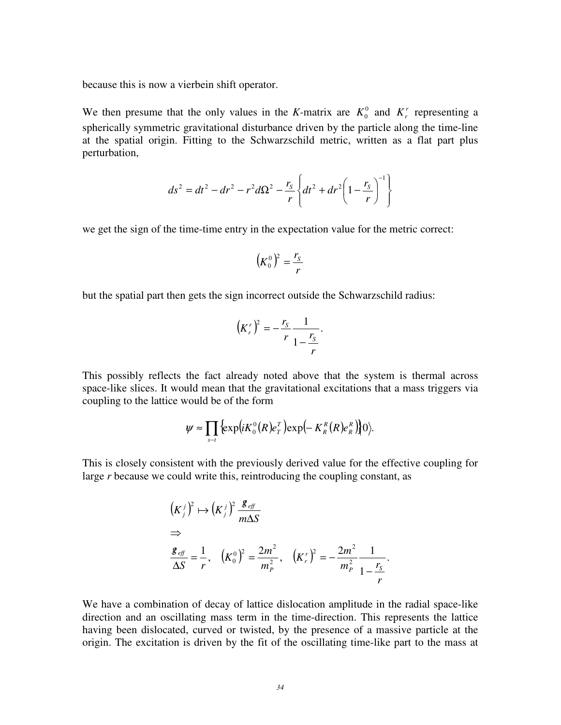because this is now a vierbein shift operator.

We then presume that the only values in the *K*-matrix are  $K_0^0$  and  $K_r^r$  representing a spherically symmetric gravitational disturbance driven by the particle along the time-line at the spatial origin. Fitting to the Schwarzschild metric, written as a flat part plus perturbation,

$$
ds^{2} = dt^{2} - dr^{2} - r^{2} d\Omega^{2} - \frac{r_{s}}{r} \left\{ dt^{2} + dr^{2} \left( 1 - \frac{r_{s}}{r} \right)^{-1} \right\}
$$

we get the sign of the time-time entry in the expectation value for the metric correct:

$$
\left(K_0^0\right)^2 = \frac{r_s}{r}
$$

but the spatial part then gets the sign incorrect outside the Schwarzschild radius:

$$
\left(K_r^r\right)^2 = -\frac{r_s}{r} \frac{1}{1 - \frac{r_s}{r}}.
$$

This possibly reflects the fact already noted above that the system is thermal across space-like slices. It would mean that the gravitational excitations that a mass triggers via coupling to the lattice would be of the form

$$
\psi \approx \prod_{s-t} \left\{ \exp \left(i K_0^0(R) e_T^T \right) \exp \left(- K_R^R(R) e_R^R \right) \right\} 0 \rangle.
$$

This is closely consistent with the previously derived value for the effective coupling for large *r* because we could write this, reintroducing the coupling constant, as

$$
(K_j^j)^2 \mapsto (K_j^j)^2 \frac{\mathcal{L}_{\text{eff}}}{m\Delta S}
$$
  
\n
$$
\Rightarrow
$$
  
\n
$$
\frac{\mathcal{L}_{\text{eff}}}{\Delta S} = \frac{1}{r}, \quad (K_0^0)^2 = \frac{2m^2}{m_P^2}, \quad (K_r^r)^2 = -\frac{2m^2}{m_P^2} \frac{1}{1 - \frac{r_s}{r}}.
$$

We have a combination of decay of lattice dislocation amplitude in the radial space-like direction and an oscillating mass term in the time-direction. This represents the lattice having been dislocated, curved or twisted, by the presence of a massive particle at the origin. The excitation is driven by the fit of the oscillating time-like part to the mass at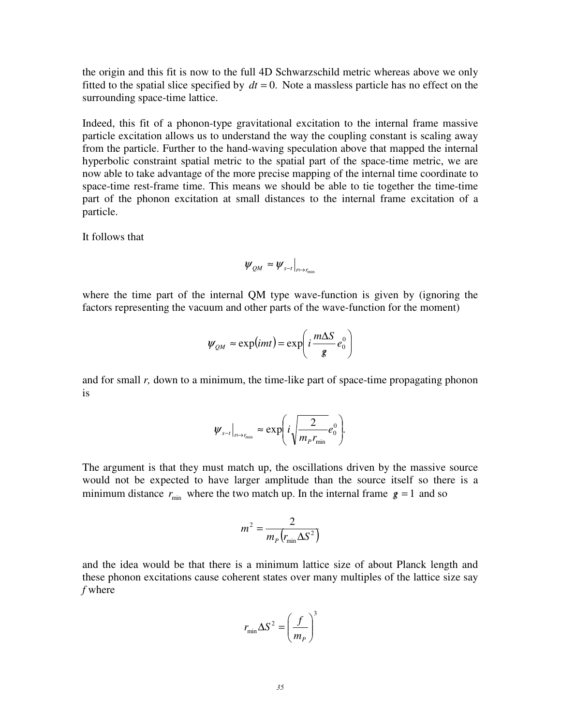the origin and this fit is now to the full 4D Schwarzschild metric whereas above we only fitted to the spatial slice specified by  $dt = 0$ . Note a massless particle has no effect on the surrounding space-time lattice.

Indeed, this fit of a phonon-type gravitational excitation to the internal frame massive particle excitation allows us to understand the way the coupling constant is scaling away from the particle. Further to the hand-waving speculation above that mapped the internal hyperbolic constraint spatial metric to the spatial part of the space-time metric, we are now able to take advantage of the more precise mapping of the internal time coordinate to space-time rest-frame time. This means we should be able to tie together the time-time part of the phonon excitation at small distances to the internal frame excitation of a particle.

It follows that

$$
\psi_{QM} \approx \psi_{s-t}\big|_{r \mapsto r_{\min}}
$$

where the time part of the internal QM type wave-function is given by (ignoring the factors representing the vacuum and other parts of the wave-function for the moment)

$$
\Psi_{QM} \approx \exp(imt) = \exp\left(i\frac{m\Delta S}{g}e_0^0\right)
$$

and for small *r,* down to a minimum, the time-like part of space-time propagating phonon is

$$
\left.\psi_{s-t}\right|_{r\mapsto r_{\min}} \approx \exp\left(i\sqrt{\frac{2}{m_p r_{\min}}}e_0^0\right).
$$

The argument is that they must match up, the oscillations driven by the massive source would not be expected to have larger amplitude than the source itself so there is a minimum distance  $r_{\text{min}}$  where the two match up. In the internal frame  $g = 1$  and so

$$
m^2 = \frac{2}{m_p \left(r_{\text{min}} \Delta S^2\right)}
$$

and the idea would be that there is a minimum lattice size of about Planck length and these phonon excitations cause coherent states over many multiples of the lattice size say *f* where

$$
r_{\min} \Delta S^2 = \left(\frac{f}{m_P}\right)^3
$$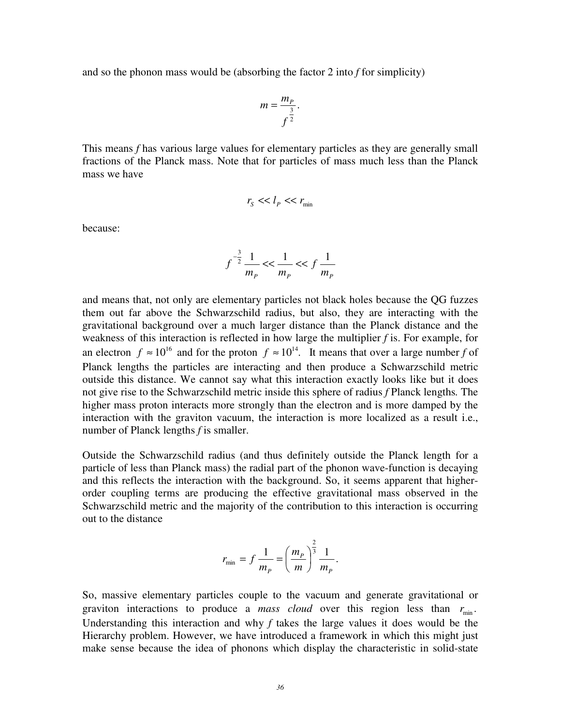and so the phonon mass would be (absorbing the factor 2 into *f* for simplicity)

$$
m=\frac{m_P}{f^{\frac{3}{2}}}.
$$

This means *f* has various large values for elementary particles as they are generally small fractions of the Planck mass. Note that for particles of mass much less than the Planck mass we have

$$
r_{\rm S} << l_{\rm P} << r_{\rm min}
$$

because:

$$
f^{-\frac{3}{2}}\frac{1}{m_{p}} << \frac{1}{m_{p}} << f\frac{1}{m_{p}}
$$

and means that, not only are elementary particles not black holes because the QG fuzzes them out far above the Schwarzschild radius, but also, they are interacting with the gravitational background over a much larger distance than the Planck distance and the weakness of this interaction is reflected in how large the multiplier *f* is. For example, for an electron  $f \approx 10^{16}$  and for the proton  $f \approx 10^{14}$ . It means that over a large number f of Planck lengths the particles are interacting and then produce a Schwarzschild metric outside this distance. We cannot say what this interaction exactly looks like but it does not give rise to the Schwarzschild metric inside this sphere of radius *f* Planck lengths*.* The higher mass proton interacts more strongly than the electron and is more damped by the interaction with the graviton vacuum, the interaction is more localized as a result i.e., number of Planck lengths *f* is smaller.

Outside the Schwarzschild radius (and thus definitely outside the Planck length for a particle of less than Planck mass) the radial part of the phonon wave-function is decaying and this reflects the interaction with the background. So, it seems apparent that higherorder coupling terms are producing the effective gravitational mass observed in the Schwarzschild metric and the majority of the contribution to this interaction is occurring out to the distance

$$
r_{\min} = f \frac{1}{m_P} = \left(\frac{m_P}{m}\right)^{\frac{2}{3}} \frac{1}{m_P}.
$$

So, massive elementary particles couple to the vacuum and generate gravitational or graviton interactions to produce a *mass cloud* over this region less than  $r_{\text{min}}$ . Understanding this interaction and why *f* takes the large values it does would be the Hierarchy problem. However, we have introduced a framework in which this might just make sense because the idea of phonons which display the characteristic in solid-state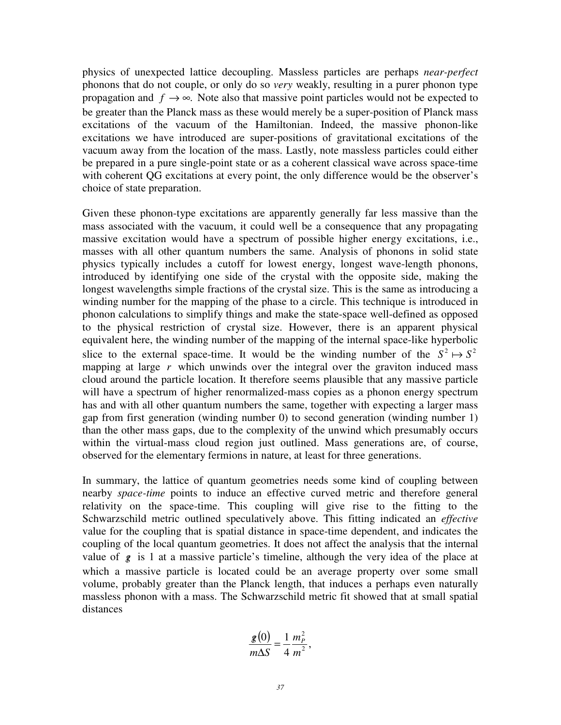physics of unexpected lattice decoupling. Massless particles are perhaps *near-perfect* phonons that do not couple, or only do so *very* weakly, resulting in a purer phonon type propagation and  $f \rightarrow \infty$ . Note also that massive point particles would not be expected to be greater than the Planck mass as these would merely be a super-position of Planck mass excitations of the vacuum of the Hamiltonian. Indeed, the massive phonon-like excitations we have introduced are super-positions of gravitational excitations of the vacuum away from the location of the mass. Lastly, note massless particles could either be prepared in a pure single-point state or as a coherent classical wave across space-time with coherent QG excitations at every point, the only difference would be the observer's choice of state preparation.

Given these phonon-type excitations are apparently generally far less massive than the mass associated with the vacuum, it could well be a consequence that any propagating massive excitation would have a spectrum of possible higher energy excitations, i.e., masses with all other quantum numbers the same. Analysis of phonons in solid state physics typically includes a cutoff for lowest energy, longest wave-length phonons, introduced by identifying one side of the crystal with the opposite side, making the longest wavelengths simple fractions of the crystal size. This is the same as introducing a winding number for the mapping of the phase to a circle. This technique is introduced in phonon calculations to simplify things and make the state-space well-defined as opposed to the physical restriction of crystal size. However, there is an apparent physical equivalent here, the winding number of the mapping of the internal space-like hyperbolic slice to the external space-time. It would be the winding number of the  $S^2 \mapsto S^2$ mapping at large  $r$  which unwinds over the integral over the graviton induced mass cloud around the particle location. It therefore seems plausible that any massive particle will have a spectrum of higher renormalized-mass copies as a phonon energy spectrum has and with all other quantum numbers the same, together with expecting a larger mass gap from first generation (winding number 0) to second generation (winding number 1) than the other mass gaps, due to the complexity of the unwind which presumably occurs within the virtual-mass cloud region just outlined. Mass generations are, of course, observed for the elementary fermions in nature, at least for three generations.

In summary, the lattice of quantum geometries needs some kind of coupling between nearby *space-time* points to induce an effective curved metric and therefore general relativity on the space-time. This coupling will give rise to the fitting to the Schwarzschild metric outlined speculatively above. This fitting indicated an *effective* value for the coupling that is spatial distance in space-time dependent, and indicates the coupling of the local quantum geometries. It does not affect the analysis that the internal value of  $g$  is 1 at a massive particle's timeline, although the very idea of the place at which a massive particle is located could be an average property over some small volume, probably greater than the Planck length, that induces a perhaps even naturally massless phonon with a mass. The Schwarzschild metric fit showed that at small spatial distances

$$
\frac{\mathbf{g}(0)}{m\Delta S} = \frac{1}{4} \frac{m_P^2}{m^2},
$$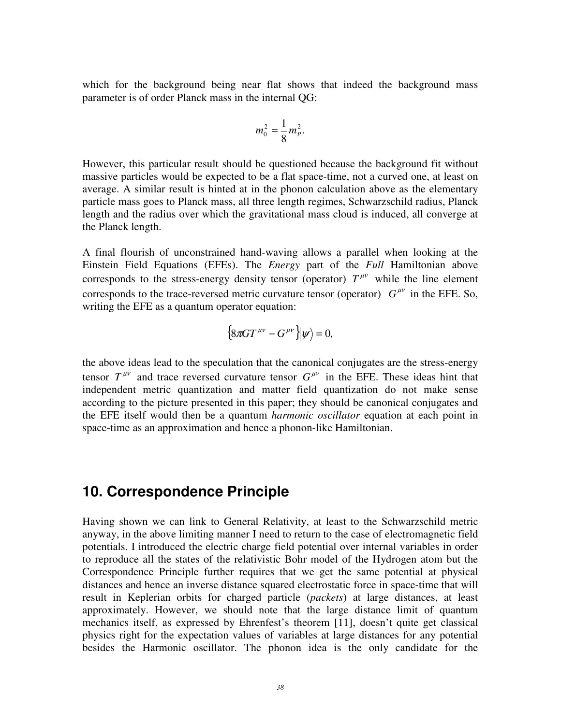which for the background being near flat shows that indeed the background mass parameter is of order Planck mass in the internal QG:

$$
m_0^2 = \frac{1}{8} m_P^2.
$$

However, this particular result should be questioned because the background fit without massive particles would be expected to be a flat space-time, not a curved one, at least on average. A similar result is hinted at in the phonon calculation above as the elementary particle mass goes to Planck mass, all three length regimes, Schwarzschild radius, Planck length and the radius over which the gravitational mass cloud is induced, all converge at the Planck length.

A final flourish of unconstrained hand-waving allows a parallel when looking at the Einstein Field Equations (EFEs). The *Energy* part of the *Full* Hamiltonian above corresponds to the stress-energy density tensor (operator)  $T^{\mu\nu}$  while the line element corresponds to the trace-reversed metric curvature tensor (operator)  $G^{\mu\nu}$  in the EFE. So, writing the EFE as a quantum operator equation:

$$
\left\{8\pi GT^{\mu\nu}-G^{\mu\nu}\right\}\!\!\left|\psi\right\rangle=0,
$$

the above ideas lead to the speculation that the canonical conjugates are the stress-energy tensor  $T^{\mu\nu}$  and trace reversed curvature tensor  $G^{\mu\nu}$  in the EFE. These ideas hint that independent metric quantization and matter field quantization do not make sense according to the picture presented in this paper; they should be canonical conjugates and the EFE itself would then be a quantum *harmonic oscillator* equation at each point in space-time as an approximation and hence a phonon-like Hamiltonian.

#### **10. Correspondence Principle**

Having shown we can link to General Relativity, at least to the Schwarzschild metric anyway, in the above limiting manner I need to return to the case of electromagnetic field potentials. I introduced the electric charge field potential over internal variables in order to reproduce all the states of the relativistic Bohr model of the Hydrogen atom but the Correspondence Principle further requires that we get the same potential at physical distances and hence an inverse distance squared electrostatic force in space-time that will result in Keplerian orbits for charged particle (*packets*) at large distances, at least approximately. However, we should note that the large distance limit of quantum mechanics itself, as expressed by Ehrenfest's theorem [11], doesn't quite get classical physics right for the expectation values of variables at large distances for any potential besides the Harmonic oscillator. The phonon idea is the only candidate for the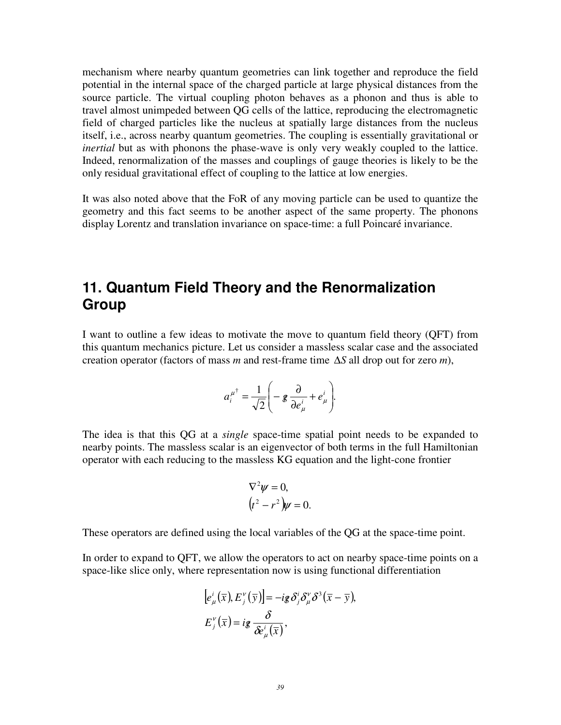mechanism where nearby quantum geometries can link together and reproduce the field potential in the internal space of the charged particle at large physical distances from the source particle. The virtual coupling photon behaves as a phonon and thus is able to travel almost unimpeded between QG cells of the lattice, reproducing the electromagnetic field of charged particles like the nucleus at spatially large distances from the nucleus itself, i.e., across nearby quantum geometries. The coupling is essentially gravitational or *inertial* but as with phonons the phase-wave is only very weakly coupled to the lattice. Indeed, renormalization of the masses and couplings of gauge theories is likely to be the only residual gravitational effect of coupling to the lattice at low energies.

It was also noted above that the FoR of any moving particle can be used to quantize the geometry and this fact seems to be another aspect of the same property. The phonons display Lorentz and translation invariance on space-time: a full Poincaré invariance.

### **11. Quantum Field Theory and the Renormalization Group**

I want to outline a few ideas to motivate the move to quantum field theory (QFT) from this quantum mechanics picture. Let us consider a massless scalar case and the associated creation operator (factors of mass *m* and rest-frame time ∆*S* all drop out for zero *m*),

$$
a_i^{\mu^{\dagger}} = \frac{1}{\sqrt{2}} \left( -\mathbf{g} \frac{\partial}{\partial e^i_{\mu}} + e^i_{\mu} \right).
$$

The idea is that this QG at a *single* space-time spatial point needs to be expanded to nearby points. The massless scalar is an eigenvector of both terms in the full Hamiltonian operator with each reducing to the massless KG equation and the light-cone frontier

$$
\nabla^2 \psi = 0,
$$
  

$$
(t^2 - r^2)\psi = 0.
$$

These operators are defined using the local variables of the QG at the space-time point.

In order to expand to QFT, we allow the operators to act on nearby space-time points on a space-like slice only, where representation now is using functional differentiation

$$
[e_{\mu}^{i}(\overline{x}), E_{j}^{\nu}(\overline{y})] = -ig \delta_{j}^{i} \delta_{\mu}^{\nu} \delta^{3}(\overline{x} - \overline{y}),
$$
  

$$
E_{j}^{\nu}(\overline{x}) = ig \frac{\delta}{\delta e_{\mu}^{i}(\overline{x})},
$$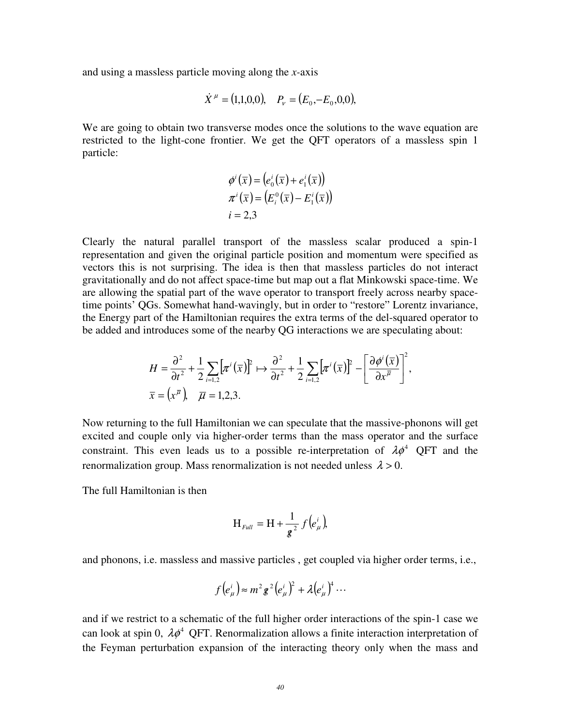and using a massless particle moving along the *x-*axis

$$
\dot{X}^{\mu} = (1,1,0,0), \quad P_{\nu} = (E_0, -E_0, 0,0),
$$

We are going to obtain two transverse modes once the solutions to the wave equation are restricted to the light-cone frontier. We get the QFT operators of a massless spin 1 particle:

$$
\phi^i(\overline{x}) = (e_0^i(\overline{x}) + e_1^i(\overline{x}))
$$
  

$$
\pi^i(\overline{x}) = (E_i^0(\overline{x}) - E_1^i(\overline{x}))
$$
  

$$
i = 2,3
$$

Clearly the natural parallel transport of the massless scalar produced a spin-1 representation and given the original particle position and momentum were specified as vectors this is not surprising. The idea is then that massless particles do not interact gravitationally and do not affect space-time but map out a flat Minkowski space-time. We are allowing the spatial part of the wave operator to transport freely across nearby spacetime points' QGs. Somewhat hand-wavingly, but in order to "restore" Lorentz invariance, the Energy part of the Hamiltonian requires the extra terms of the del-squared operator to be added and introduces some of the nearby QG interactions we are speculating about:

$$
H = \frac{\partial^2}{\partial t^2} + \frac{1}{2} \sum_{i=1,2} \left[ \pi^i(\overline{x}) \right]^2 \mapsto \frac{\partial^2}{\partial t^2} + \frac{1}{2} \sum_{i=1,2} \left[ \pi^i(\overline{x}) \right]^2 - \left[ \frac{\partial \phi^i(\overline{x})}{\partial x^{\overline{\mu}}} \right]^2,
$$
  

$$
\overline{x} = \left( x^{\overline{\mu}} \right), \quad \overline{\mu} = 1,2,3.
$$

Now returning to the full Hamiltonian we can speculate that the massive-phonons will get excited and couple only via higher-order terms than the mass operator and the surface constraint. This even leads us to a possible re-interpretation of  $\lambda \phi^4$  QFT and the renormalization group. Mass renormalization is not needed unless  $\lambda > 0$ .

The full Hamiltonian is then

$$
H_{\text{Full}} = H + \frac{1}{g^2} f(e^i_\mu),
$$

and phonons, i.e. massless and massive particles , get coupled via higher order terms, i.e.,

$$
f(e_{\mu}^{i}) \approx m^{2} g^{2} (e_{\mu}^{i})^{2} + \lambda (e_{\mu}^{i})^{4} \cdots
$$

and if we restrict to a schematic of the full higher order interactions of the spin-1 case we can look at spin 0,  $\lambda \phi^4$  QFT. Renormalization allows a finite interaction interpretation of the Feyman perturbation expansion of the interacting theory only when the mass and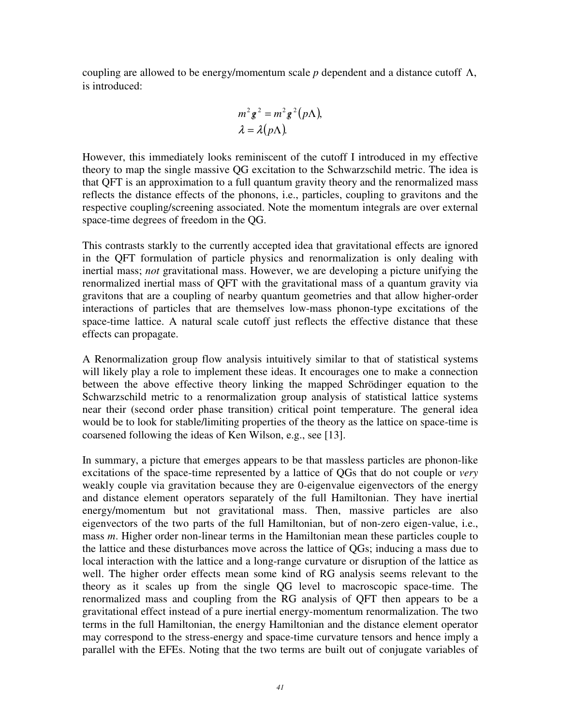coupling are allowed to be energy/momentum scale  $p$  dependent and a distance cutoff  $\Lambda$ , is introduced:

$$
m^2 g^2 = m^2 g^2 (p\Lambda),
$$
  

$$
\lambda = \lambda (p\Lambda).
$$

However, this immediately looks reminiscent of the cutoff I introduced in my effective theory to map the single massive QG excitation to the Schwarzschild metric. The idea is that QFT is an approximation to a full quantum gravity theory and the renormalized mass reflects the distance effects of the phonons, i.e., particles, coupling to gravitons and the respective coupling/screening associated. Note the momentum integrals are over external space-time degrees of freedom in the QG.

This contrasts starkly to the currently accepted idea that gravitational effects are ignored in the QFT formulation of particle physics and renormalization is only dealing with inertial mass; *not* gravitational mass. However, we are developing a picture unifying the renormalized inertial mass of QFT with the gravitational mass of a quantum gravity via gravitons that are a coupling of nearby quantum geometries and that allow higher-order interactions of particles that are themselves low-mass phonon-type excitations of the space-time lattice. A natural scale cutoff just reflects the effective distance that these effects can propagate.

A Renormalization group flow analysis intuitively similar to that of statistical systems will likely play a role to implement these ideas. It encourages one to make a connection between the above effective theory linking the mapped Schrödinger equation to the Schwarzschild metric to a renormalization group analysis of statistical lattice systems near their (second order phase transition) critical point temperature. The general idea would be to look for stable/limiting properties of the theory as the lattice on space-time is coarsened following the ideas of Ken Wilson, e.g., see [13].

In summary, a picture that emerges appears to be that massless particles are phonon-like excitations of the space-time represented by a lattice of QGs that do not couple or *very* weakly couple via gravitation because they are 0-eigenvalue eigenvectors of the energy and distance element operators separately of the full Hamiltonian. They have inertial energy/momentum but not gravitational mass. Then, massive particles are also eigenvectors of the two parts of the full Hamiltonian, but of non-zero eigen-value, i.e., mass *m*. Higher order non-linear terms in the Hamiltonian mean these particles couple to the lattice and these disturbances move across the lattice of QGs; inducing a mass due to local interaction with the lattice and a long-range curvature or disruption of the lattice as well. The higher order effects mean some kind of RG analysis seems relevant to the theory as it scales up from the single QG level to macroscopic space-time. The renormalized mass and coupling from the RG analysis of QFT then appears to be a gravitational effect instead of a pure inertial energy-momentum renormalization. The two terms in the full Hamiltonian, the energy Hamiltonian and the distance element operator may correspond to the stress-energy and space-time curvature tensors and hence imply a parallel with the EFEs. Noting that the two terms are built out of conjugate variables of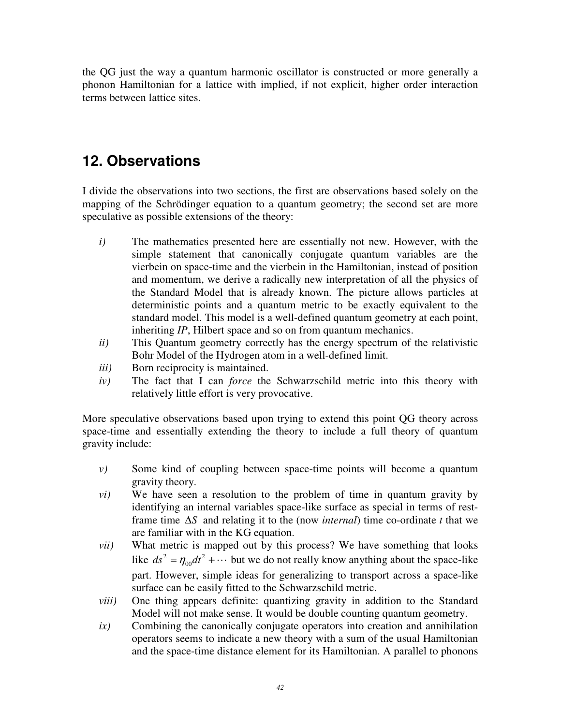the QG just the way a quantum harmonic oscillator is constructed or more generally a phonon Hamiltonian for a lattice with implied, if not explicit, higher order interaction terms between lattice sites.

### **12. Observations**

I divide the observations into two sections, the first are observations based solely on the mapping of the Schrödinger equation to a quantum geometry; the second set are more speculative as possible extensions of the theory:

- *i)* The mathematics presented here are essentially not new. However, with the simple statement that canonically conjugate quantum variables are the vierbein on space-time and the vierbein in the Hamiltonian, instead of position and momentum, we derive a radically new interpretation of all the physics of the Standard Model that is already known. The picture allows particles at deterministic points and a quantum metric to be exactly equivalent to the standard model. This model is a well-defined quantum geometry at each point, inheriting *IP*, Hilbert space and so on from quantum mechanics.
- *ii)* This Quantum geometry correctly has the energy spectrum of the relativistic Bohr Model of the Hydrogen atom in a well-defined limit.
- *iii)* Born reciprocity is maintained.
- *iv)* The fact that I can *force* the Schwarzschild metric into this theory with relatively little effort is very provocative.

More speculative observations based upon trying to extend this point QG theory across space-time and essentially extending the theory to include a full theory of quantum gravity include:

- *v)* Some kind of coupling between space-time points will become a quantum gravity theory.
- *vi)* We have seen a resolution to the problem of time in quantum gravity by identifying an internal variables space-like surface as special in terms of restframe time ∆*S* and relating it to the (now *internal*) time co-ordinate *t* that we are familiar with in the KG equation.
- *vii)* What metric is mapped out by this process? We have something that looks like  $ds^2 = \eta_{00} dt^2 + \cdots$  but we do not really know anything about the space-like part. However, simple ideas for generalizing to transport across a space-like surface can be easily fitted to the Schwarzschild metric.
- *viii)* One thing appears definite: quantizing gravity in addition to the Standard Model will not make sense. It would be double counting quantum geometry.
- *ix)* Combining the canonically conjugate operators into creation and annihilation operators seems to indicate a new theory with a sum of the usual Hamiltonian and the space-time distance element for its Hamiltonian. A parallel to phonons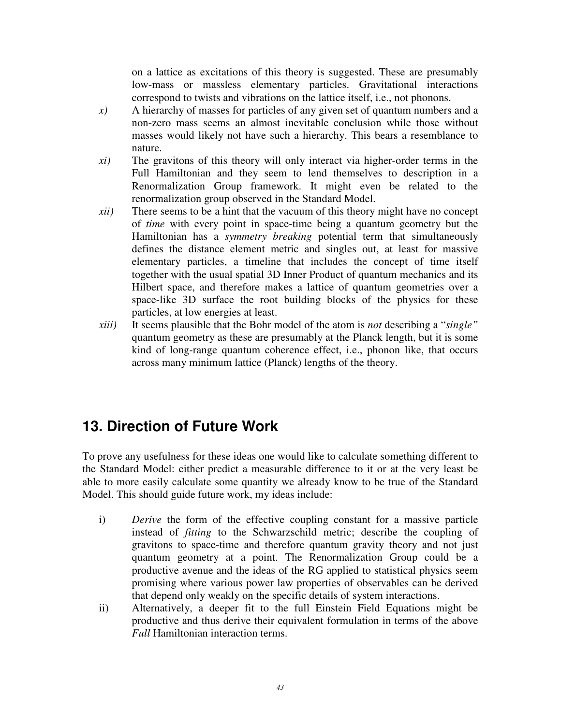on a lattice as excitations of this theory is suggested. These are presumably low-mass or massless elementary particles. Gravitational interactions correspond to twists and vibrations on the lattice itself, i.e., not phonons.

- *x)* A hierarchy of masses for particles of any given set of quantum numbers and a non-zero mass seems an almost inevitable conclusion while those without masses would likely not have such a hierarchy. This bears a resemblance to nature.
- *xi)* The gravitons of this theory will only interact via higher-order terms in the Full Hamiltonian and they seem to lend themselves to description in a Renormalization Group framework. It might even be related to the renormalization group observed in the Standard Model.
- *xii)* There seems to be a hint that the vacuum of this theory might have no concept of *time* with every point in space-time being a quantum geometry but the Hamiltonian has a *symmetry breaking* potential term that simultaneously defines the distance element metric and singles out, at least for massive elementary particles, a timeline that includes the concept of time itself together with the usual spatial 3D Inner Product of quantum mechanics and its Hilbert space, and therefore makes a lattice of quantum geometries over a space-like 3D surface the root building blocks of the physics for these particles, at low energies at least.
- *xiii)* It seems plausible that the Bohr model of the atom is *not* describing a "*single"* quantum geometry as these are presumably at the Planck length, but it is some kind of long-range quantum coherence effect, i.e., phonon like, that occurs across many minimum lattice (Planck) lengths of the theory.

## **13. Direction of Future Work**

To prove any usefulness for these ideas one would like to calculate something different to the Standard Model: either predict a measurable difference to it or at the very least be able to more easily calculate some quantity we already know to be true of the Standard Model. This should guide future work, my ideas include:

- i) *Derive* the form of the effective coupling constant for a massive particle instead of *fitting* to the Schwarzschild metric; describe the coupling of gravitons to space-time and therefore quantum gravity theory and not just quantum geometry at a point. The Renormalization Group could be a productive avenue and the ideas of the RG applied to statistical physics seem promising where various power law properties of observables can be derived that depend only weakly on the specific details of system interactions.
- ii) Alternatively, a deeper fit to the full Einstein Field Equations might be productive and thus derive their equivalent formulation in terms of the above *Full* Hamiltonian interaction terms.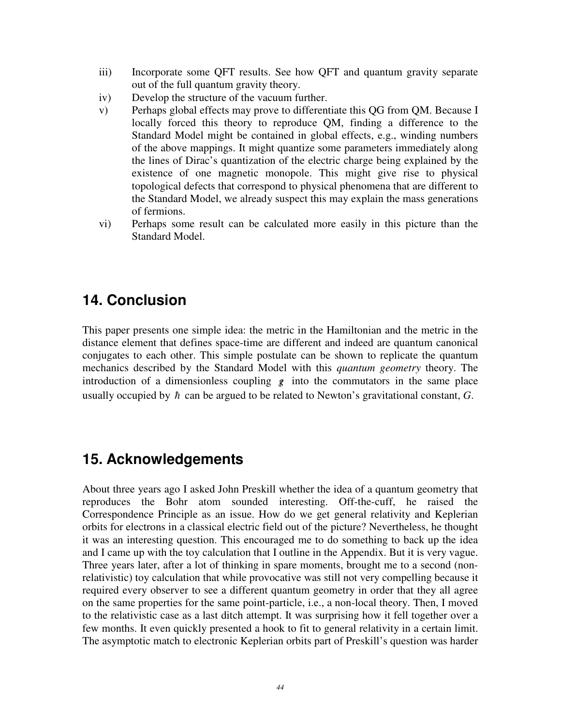- iii) Incorporate some QFT results. See how QFT and quantum gravity separate out of the full quantum gravity theory.
- iv) Develop the structure of the vacuum further.
- v) Perhaps global effects may prove to differentiate this QG from QM. Because I locally forced this theory to reproduce QM, finding a difference to the Standard Model might be contained in global effects, e.g., winding numbers of the above mappings. It might quantize some parameters immediately along the lines of Dirac's quantization of the electric charge being explained by the existence of one magnetic monopole. This might give rise to physical topological defects that correspond to physical phenomena that are different to the Standard Model, we already suspect this may explain the mass generations of fermions.
- vi) Perhaps some result can be calculated more easily in this picture than the Standard Model.

### **14. Conclusion**

This paper presents one simple idea: the metric in the Hamiltonian and the metric in the distance element that defines space-time are different and indeed are quantum canonical conjugates to each other. This simple postulate can be shown to replicate the quantum mechanics described by the Standard Model with this *quantum geometry* theory. The introduction of a dimensionless coupling  $g$  into the commutators in the same place usually occupied by  $\hbar$  can be argued to be related to Newton's gravitational constant,  $G$ .

#### **15. Acknowledgements**

About three years ago I asked John Preskill whether the idea of a quantum geometry that reproduces the Bohr atom sounded interesting. Off-the-cuff, he raised the Correspondence Principle as an issue. How do we get general relativity and Keplerian orbits for electrons in a classical electric field out of the picture? Nevertheless, he thought it was an interesting question. This encouraged me to do something to back up the idea and I came up with the toy calculation that I outline in the Appendix. But it is very vague. Three years later, after a lot of thinking in spare moments, brought me to a second (nonrelativistic) toy calculation that while provocative was still not very compelling because it required every observer to see a different quantum geometry in order that they all agree on the same properties for the same point-particle, i.e., a non-local theory. Then, I moved to the relativistic case as a last ditch attempt. It was surprising how it fell together over a few months. It even quickly presented a hook to fit to general relativity in a certain limit. The asymptotic match to electronic Keplerian orbits part of Preskill's question was harder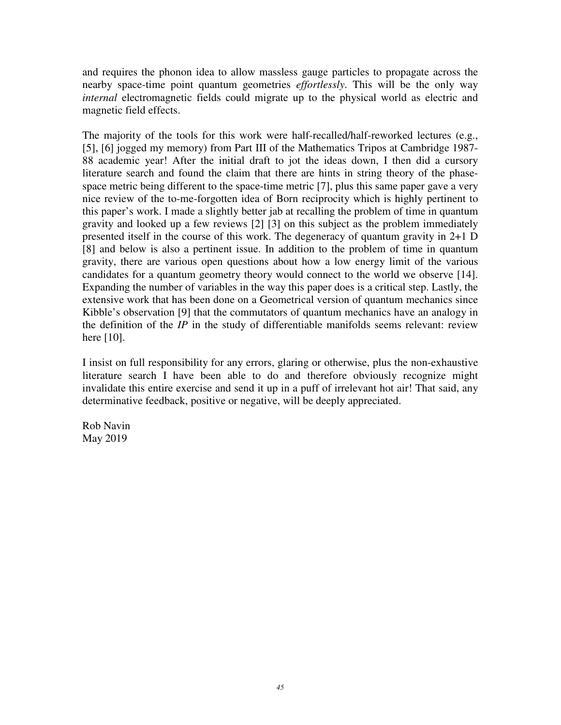and requires the phonon idea to allow massless gauge particles to propagate across the nearby space-time point quantum geometries *effortlessly*. This will be the only way *internal* electromagnetic fields could migrate up to the physical world as electric and magnetic field effects.

The majority of the tools for this work were half-recalled/half-reworked lectures (e.g., [5], [6] jogged my memory) from Part III of the Mathematics Tripos at Cambridge 1987- 88 academic year! After the initial draft to jot the ideas down, I then did a cursory literature search and found the claim that there are hints in string theory of the phasespace metric being different to the space-time metric [7], plus this same paper gave a very nice review of the to-me-forgotten idea of Born reciprocity which is highly pertinent to this paper's work. I made a slightly better jab at recalling the problem of time in quantum gravity and looked up a few reviews [2] [3] on this subject as the problem immediately presented itself in the course of this work. The degeneracy of quantum gravity in 2+1 D [8] and below is also a pertinent issue. In addition to the problem of time in quantum gravity, there are various open questions about how a low energy limit of the various candidates for a quantum geometry theory would connect to the world we observe [14]. Expanding the number of variables in the way this paper does is a critical step. Lastly, the extensive work that has been done on a Geometrical version of quantum mechanics since Kibble's observation [9] that the commutators of quantum mechanics have an analogy in the definition of the *IP* in the study of differentiable manifolds seems relevant: review here [10].

I insist on full responsibility for any errors, glaring or otherwise, plus the non-exhaustive literature search I have been able to do and therefore obviously recognize might invalidate this entire exercise and send it up in a puff of irrelevant hot air! That said, any determinative feedback, positive or negative, will be deeply appreciated.

Rob Navin May 2019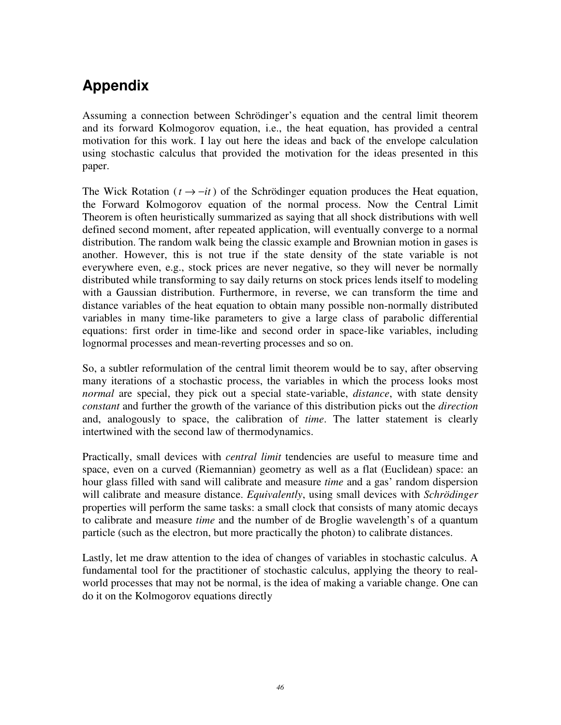# **Appendix**

Assuming a connection between Schrödinger's equation and the central limit theorem and its forward Kolmogorov equation, i.e., the heat equation, has provided a central motivation for this work. I lay out here the ideas and back of the envelope calculation using stochastic calculus that provided the motivation for the ideas presented in this paper.

The Wick Rotation ( $t \rightarrow -it$ ) of the Schrödinger equation produces the Heat equation, the Forward Kolmogorov equation of the normal process. Now the Central Limit Theorem is often heuristically summarized as saying that all shock distributions with well defined second moment, after repeated application, will eventually converge to a normal distribution. The random walk being the classic example and Brownian motion in gases is another. However, this is not true if the state density of the state variable is not everywhere even, e.g., stock prices are never negative, so they will never be normally distributed while transforming to say daily returns on stock prices lends itself to modeling with a Gaussian distribution. Furthermore, in reverse, we can transform the time and distance variables of the heat equation to obtain many possible non-normally distributed variables in many time-like parameters to give a large class of parabolic differential equations: first order in time-like and second order in space-like variables, including lognormal processes and mean-reverting processes and so on.

So, a subtler reformulation of the central limit theorem would be to say, after observing many iterations of a stochastic process, the variables in which the process looks most *normal* are special, they pick out a special state-variable, *distance*, with state density *constant* and further the growth of the variance of this distribution picks out the *direction* and, analogously to space, the calibration of *time*. The latter statement is clearly intertwined with the second law of thermodynamics.

Practically, small devices with *central limit* tendencies are useful to measure time and space, even on a curved (Riemannian) geometry as well as a flat (Euclidean) space: an hour glass filled with sand will calibrate and measure *time* and a gas' random dispersion will calibrate and measure distance. *Equivalently*, using small devices with *Schrödinger* properties will perform the same tasks: a small clock that consists of many atomic decays to calibrate and measure *time* and the number of de Broglie wavelength's of a quantum particle (such as the electron, but more practically the photon) to calibrate distances.

Lastly, let me draw attention to the idea of changes of variables in stochastic calculus. A fundamental tool for the practitioner of stochastic calculus, applying the theory to realworld processes that may not be normal, is the idea of making a variable change. One can do it on the Kolmogorov equations directly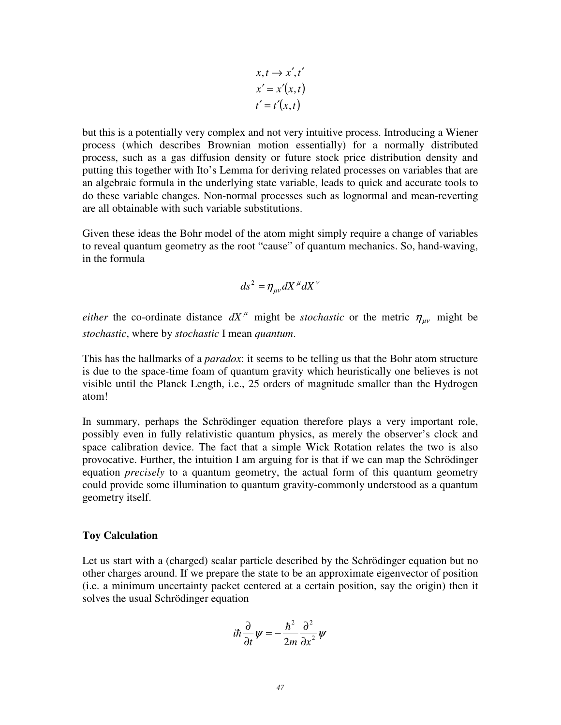$$
x, t \rightarrow x', t'
$$
  
\n
$$
x' = x'(x, t)
$$
  
\n
$$
t' = t'(x, t)
$$

but this is a potentially very complex and not very intuitive process. Introducing a Wiener process (which describes Brownian motion essentially) for a normally distributed process, such as a gas diffusion density or future stock price distribution density and putting this together with Ito's Lemma for deriving related processes on variables that are an algebraic formula in the underlying state variable, leads to quick and accurate tools to do these variable changes. Non-normal processes such as lognormal and mean-reverting are all obtainable with such variable substitutions.

Given these ideas the Bohr model of the atom might simply require a change of variables to reveal quantum geometry as the root "cause" of quantum mechanics. So, hand-waving, in the formula

$$
ds^2 = \eta_{\mu\nu} dX^{\mu} dX^{\nu}
$$

*either* the co-ordinate distance  $dX^{\mu}$  might be *stochastic* or the metric  $\eta_{\mu\nu}$  might be *stochastic*, where by *stochastic* I mean *quantum*.

This has the hallmarks of a *paradox*: it seems to be telling us that the Bohr atom structure is due to the space-time foam of quantum gravity which heuristically one believes is not visible until the Planck Length, i.e., 25 orders of magnitude smaller than the Hydrogen atom!

In summary, perhaps the Schrödinger equation therefore plays a very important role, possibly even in fully relativistic quantum physics, as merely the observer's clock and space calibration device. The fact that a simple Wick Rotation relates the two is also provocative. Further, the intuition I am arguing for is that if we can map the Schrödinger equation *precisely* to a quantum geometry, the actual form of this quantum geometry could provide some illumination to quantum gravity-commonly understood as a quantum geometry itself.

#### **Toy Calculation**

Let us start with a (charged) scalar particle described by the Schrödinger equation but no other charges around. If we prepare the state to be an approximate eigenvector of position (i.e. a minimum uncertainty packet centered at a certain position, say the origin) then it solves the usual Schrödinger equation

$$
i\hbar \frac{\partial}{\partial t}\psi = -\frac{\hbar^2}{2m}\frac{\partial^2}{\partial x^2}\psi
$$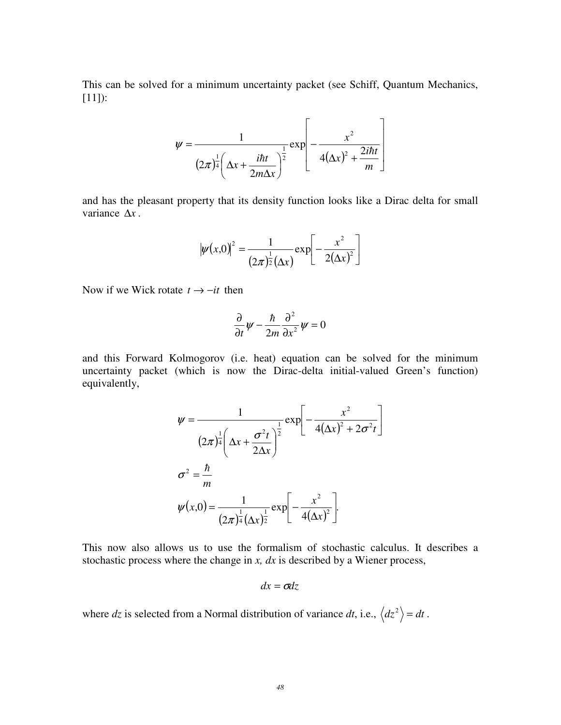This can be solved for a minimum uncertainty packet (see Schiff, Quantum Mechanics, [11]):

$$
\psi = \frac{1}{(2\pi)^{\frac{1}{4}}\left(\Delta x + \frac{i\hbar t}{2m\Delta x}\right)^{\frac{1}{2}}} \exp\left[-\frac{x^2}{4(\Delta x)^2 + \frac{2i\hbar t}{m}}\right]
$$

and has the pleasant property that its density function looks like a Dirac delta for small variance ∆*x* .

$$
|\psi(x,0)|^2 = \frac{1}{(2\pi)^{\frac{1}{2}}(\Delta x)} \exp \left[-\frac{x^2}{2(\Delta x)^2}\right]
$$

Now if we Wick rotate  $t \rightarrow -it$  then

$$
\frac{\partial}{\partial t}\psi - \frac{\hbar}{2m}\frac{\partial^2}{\partial x^2}\psi = 0
$$

and this Forward Kolmogorov (i.e. heat) equation can be solved for the minimum uncertainty packet (which is now the Dirac-delta initial-valued Green's function) equivalently,

$$
\psi = \frac{1}{(2\pi)^{\frac{1}{4}} \left(\Delta x + \frac{\sigma^2 t}{2\Delta x}\right)^{\frac{1}{2}}} \exp\left[-\frac{x^2}{4(\Delta x)^2 + 2\sigma^2 t}\right]}
$$

$$
\sigma^2 = \frac{\hbar}{m}
$$

$$
\psi(x,0) = \frac{1}{(2\pi)^{\frac{1}{4}} (\Delta x)^{\frac{1}{2}}} \exp\left[-\frac{x^2}{4(\Delta x)^2}\right].
$$

This now also allows us to use the formalism of stochastic calculus. It describes a stochastic process where the change in *x, dx* is described by a Wiener process,

$$
dx = \sigma dz
$$

where dz is selected from a Normal distribution of variance dt, i.e.,  $\langle dz^2 \rangle = dt$ .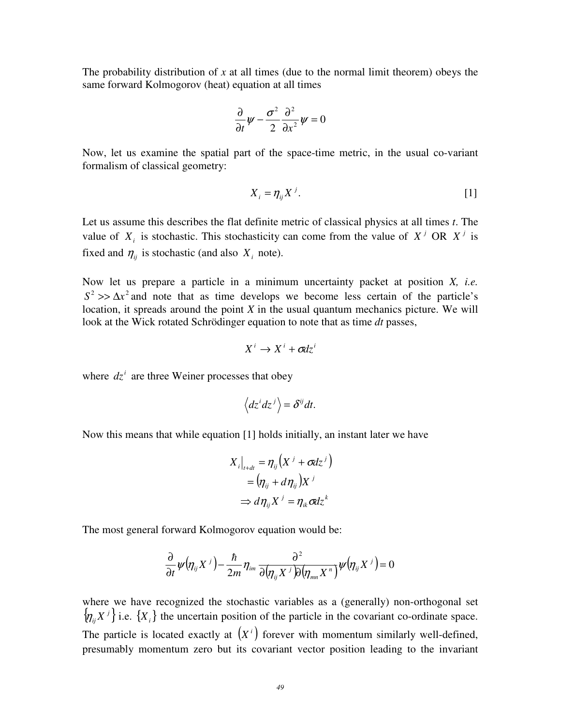The probability distribution of *x* at all times (due to the normal limit theorem) obeys the same forward Kolmogorov (heat) equation at all times

$$
\frac{\partial}{\partial t}\psi - \frac{\sigma^2}{2}\frac{\partial^2}{\partial x^2}\psi = 0
$$

Now, let us examine the spatial part of the space-time metric, in the usual co-variant formalism of classical geometry:

$$
X_i = \eta_{ij} X^j. \tag{1}
$$

Let us assume this describes the flat definite metric of classical physics at all times *t*. The value of  $X_i$  is stochastic. This stochasticity can come from the value of  $X^j$  OR  $X^j$  is fixed and  $\eta_{ij}$  is stochastic (and also  $X_i$  note).

Now let us prepare a particle in a minimum uncertainty packet at position *X, i.e.*   $S^2$  >>  $\Delta x^2$  and note that as time develops we become less certain of the particle's location, it spreads around the point *X* in the usual quantum mechanics picture. We will look at the Wick rotated Schrödinger equation to note that as time *dt* passes,

$$
X^i \to X^i + \sigma dz^i
$$

where  $dz^i$  are three Weiner processes that obey

$$
\left\langle dz^i dz^j \right\rangle = \delta^{ij} dt.
$$

Now this means that while equation [1] holds initially, an instant later we have

$$
X_i\big|_{t+dt} = \eta_{ij} (X^j + \sigma dz^j)
$$
  
=  $(\eta_{ij} + d\eta_{ij})X^j$   
 $\Rightarrow d\eta_{ij} X^j = \eta_{ik} \sigma dz^k$ 

The most general forward Kolmogorov equation would be:

$$
\frac{\partial}{\partial t}\psi(\eta_{ij}X^j)-\frac{\hbar}{2m}\eta_{im}\frac{\partial^2}{\partial(\eta_{ij}X^j)\partial(\eta_{mn}X^n)}\psi(\eta_{ij}X^j)=0
$$

where we have recognized the stochastic variables as a (generally) non-orthogonal set  $\{\eta_{ij}X^j\}$  i.e.  $\{X_i\}$  the uncertain position of the particle in the covariant co-ordinate space. The particle is located exactly at  $(X<sup>i</sup>)$  forever with momentum similarly well-defined, presumably momentum zero but its covariant vector position leading to the invariant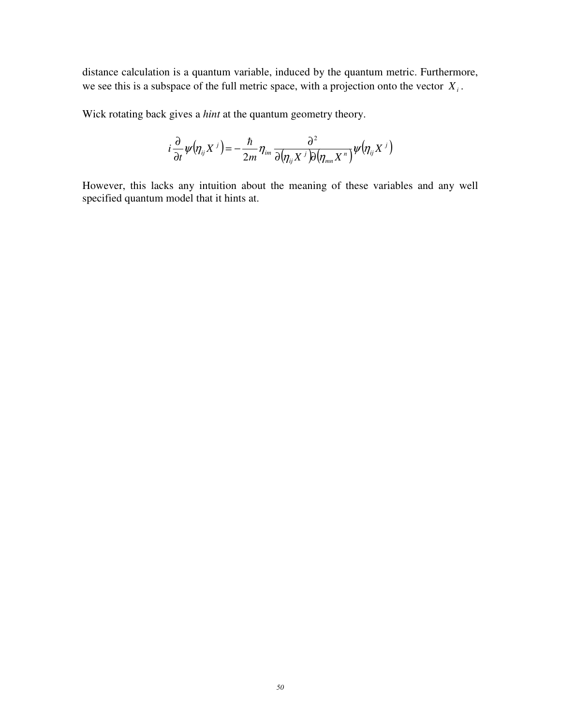distance calculation is a quantum variable, induced by the quantum metric. Furthermore, we see this is a subspace of the full metric space, with a projection onto the vector *X<sup>i</sup>* .

Wick rotating back gives a *hint* at the quantum geometry theory.

$$
i\frac{\partial}{\partial t}\psi(\eta_{ij}X^j)=-\frac{\hbar}{2m}\eta_{im}\frac{\partial^2}{\partial(\eta_{ij}X^j)\partial(\eta_{mn}X^n)}\psi(\eta_{ij}X^j)
$$

However, this lacks any intuition about the meaning of these variables and any well specified quantum model that it hints at.